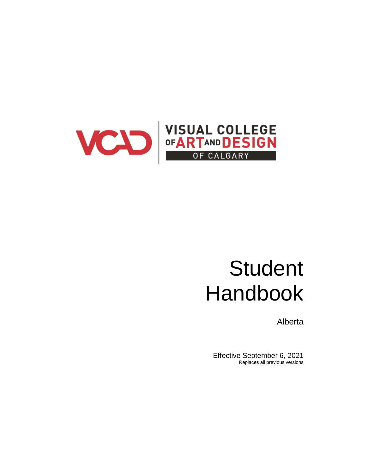

# **Student** Handbook

Alberta

Effective September 6, 2021 Replaces all previous versions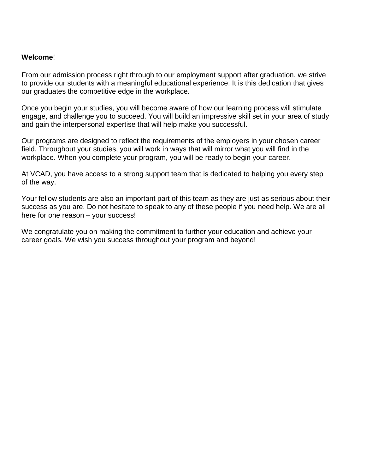# **Welcome**!

From our admission process right through to our employment support after graduation, we strive to provide our students with a meaningful educational experience. It is this dedication that gives our graduates the competitive edge in the workplace.

Once you begin your studies, you will become aware of how our learning process will stimulate engage, and challenge you to succeed. You will build an impressive skill set in your area of study and gain the interpersonal expertise that will help make you successful.

Our programs are designed to reflect the requirements of the employers in your chosen career field. Throughout your studies, you will work in ways that will mirror what you will find in the workplace. When you complete your program, you will be ready to begin your career.

At VCAD, you have access to a strong support team that is dedicated to helping you every step of the way.

Your fellow students are also an important part of this team as they are just as serious about their success as you are. Do not hesitate to speak to any of these people if you need help. We are all here for one reason – your success!

We congratulate you on making the commitment to further your education and achieve your career goals. We wish you success throughout your program and beyond!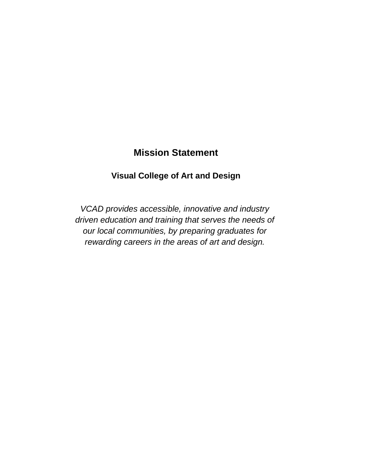# **Mission Statement**

# **Visual College of Art and Design**

*VCAD provides accessible, innovative and industry driven education and training that serves the needs of our local communities, by preparing graduates for rewarding careers in the areas of art and design.*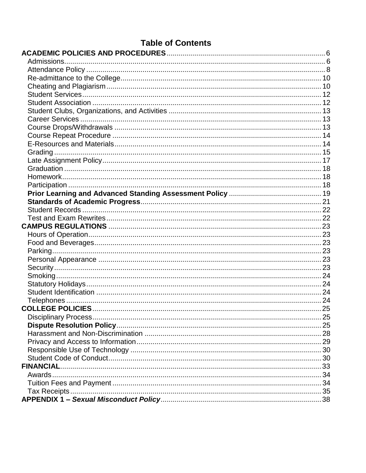| <b>Table of Contents</b> |  |
|--------------------------|--|
|                          |  |
|                          |  |
|                          |  |
|                          |  |
|                          |  |
|                          |  |
|                          |  |
|                          |  |
|                          |  |
|                          |  |
|                          |  |
|                          |  |
|                          |  |
|                          |  |
|                          |  |
|                          |  |
|                          |  |
|                          |  |
|                          |  |
|                          |  |
|                          |  |
|                          |  |
|                          |  |
|                          |  |
|                          |  |
|                          |  |
|                          |  |
|                          |  |
|                          |  |
|                          |  |
|                          |  |
|                          |  |
|                          |  |
|                          |  |
|                          |  |
|                          |  |
|                          |  |
|                          |  |
| <b>FINANCIAL</b>         |  |
|                          |  |
|                          |  |
|                          |  |
|                          |  |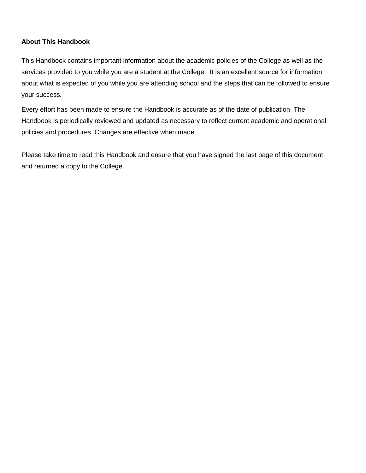# **About This Handbook**

This Handbook contains important information about the academic policies of the College as well as the services provided to you while you are a student at the College. It is an excellent source for information about what is expected of you while you are attending school and the steps that can be followed to ensure your success.

Every effort has been made to ensure the Handbook is accurate as of the date of publication. The Handbook is periodically reviewed and updated as necessary to reflect current academic and operational policies and procedures. Changes are effective when made.

Please take time to read this Handbook and ensure that you have signed the last page of this document and returned a copy to the College.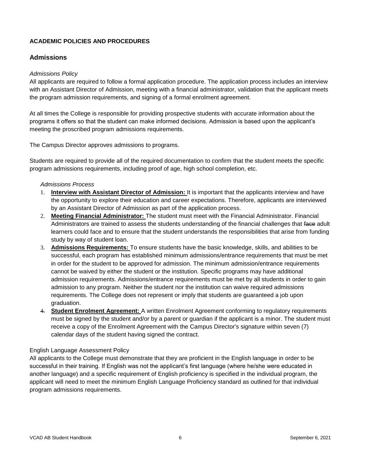# <span id="page-5-0"></span>**ACADEMIC POLICIES AND PROCEDURES**

# <span id="page-5-1"></span>**Admissions**

#### *Admissions Policy*

All applicants are required to follow a formal application procedure. The application process includes an interview with an Assistant Director of Admission, meeting with a financial administrator, validation that the applicant meets the program admission requirements, and signing of a formal enrolment agreement.

At all times the College is responsible for providing prospective students with accurate information about the programs it offers so that the student can make informed decisions. Admission is based upon the applicant's meeting the proscribed program admissions requirements.

The Campus Director approves admissions to programs.

Students are required to provide all of the required documentation to confirm that the student meets the specific program admissions requirements, including proof of age, high school completion, etc.

#### *Admissions Process*

- 1. **Interview with Assistant Director of Admission:** It is important that the applicants interview and have the opportunity to explore their education and career expectations. Therefore, applicants are interviewed by an Assistant Director of Admission as part of the application process.
- 2. **Meeting Financial Administrator:** The student must meet with the Financial Administrator. Financial Administrators are trained to assess the students understanding of the financial challenges that face adult learners could face and to ensure that the student understands the responsibilities that arise from funding study by way of student loan.
- 3. **Admissions Requirements:** To ensure students have the basic knowledge, skills, and abilities to be successful, each program has established minimum admissions/entrance requirements that must be met in order for the student to be approved for admission. The minimum admission/entrance requirements cannot be waived by either the student or the institution. Specific programs may have additional admission requirements. Admissions/entrance requirements must be met by all students in order to gain admission to any program. Neither the student nor the institution can waive required admissions requirements. The College does not represent or imply that students are guaranteed a job upon graduation.
- 4. **Student Enrolment Agreement:** A written Enrolment Agreement conforming to regulatory requirements must be signed by the student and/or by a parent or guardian if the applicant is a minor. The student must receive a copy of the Enrolment Agreement with the Campus Director's signature within seven (7) calendar days of the student having signed the contract.

#### English Language Assessment Policy

All applicants to the College must demonstrate that they are proficient in the English language in order to be successful in their training. If English was not the applicant's first language (where he/she were educated in another language) and a specific requirement of English proficiency is specified in the individual program, the applicant will need to meet the minimum English Language Proficiency standard as outlined for that individual program admissions requirements.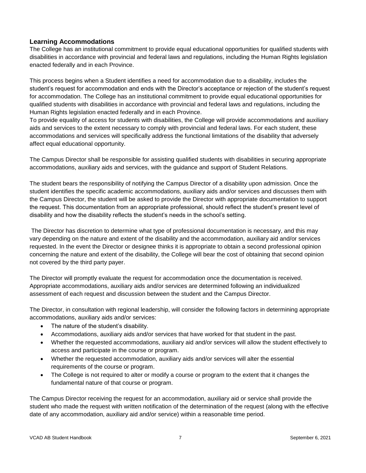# **Learning Accommodations**

The College has an institutional commitment to provide equal educational opportunities for qualified students with disabilities in accordance with provincial and federal laws and regulations, including the Human Rights legislation enacted federally and in each Province.

This process begins when a Student identifies a need for accommodation due to a disability, includes the student's request for accommodation and ends with the Director's acceptance or rejection of the student's request for accommodation. The College has an institutional commitment to provide equal educational opportunities for qualified students with disabilities in accordance with provincial and federal laws and regulations, including the Human Rights legislation enacted federally and in each Province.

To provide equality of access for students with disabilities, the College will provide accommodations and auxiliary aids and services to the extent necessary to comply with provincial and federal laws. For each student, these accommodations and services will specifically address the functional limitations of the disability that adversely affect equal educational opportunity.

The Campus Director shall be responsible for assisting qualified students with disabilities in securing appropriate accommodations, auxiliary aids and services, with the guidance and support of Student Relations.

The student bears the responsibility of notifying the Campus Director of a disability upon admission. Once the student identifies the specific academic accommodations, auxiliary aids and/or services and discusses them with the Campus Director, the student will be asked to provide the Director with appropriate documentation to support the request. This documentation from an appropriate professional, should reflect the student's present level of disability and how the disability reflects the student's needs in the school's setting.

The Director has discretion to determine what type of professional documentation is necessary, and this may vary depending on the nature and extent of the disability and the accommodation, auxiliary aid and/or services requested. In the event the Director or designee thinks it is appropriate to obtain a second professional opinion concerning the nature and extent of the disability, the College will bear the cost of obtaining that second opinion not covered by the third party payer.

The Director will promptly evaluate the request for accommodation once the documentation is received. Appropriate accommodations, auxiliary aids and/or services are determined following an individualized assessment of each request and discussion between the student and the Campus Director.

The Director, in consultation with regional leadership, will consider the following factors in determining appropriate accommodations, auxiliary aids and/or services:

- The nature of the student's disability.
- Accommodations, auxiliary aids and/or services that have worked for that student in the past.
- Whether the requested accommodations, auxiliary aid and/or services will allow the student effectively to access and participate in the course or program.
- Whether the requested accommodation, auxiliary aids and/or services will alter the essential requirements of the course or program.
- The College is not required to alter or modify a course or program to the extent that it changes the fundamental nature of that course or program.

The Campus Director receiving the request for an accommodation, auxiliary aid or service shall provide the student who made the request with written notification of the determination of the request (along with the effective date of any accommodation, auxiliary aid and/or service) within a reasonable time period.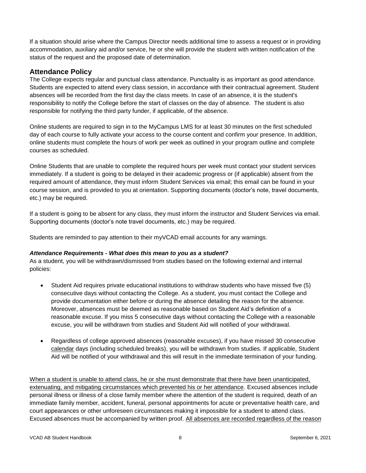If a situation should arise where the Campus Director needs additional time to assess a request or in providing accommodation, auxiliary aid and/or service, he or she will provide the student with written notification of the status of the request and the proposed date of determination.

# <span id="page-7-0"></span>**Attendance Policy**

The College expects regular and punctual class attendance. Punctuality is as important as good attendance. Students are expected to attend every class session, in accordance with their contractual agreement. Student absences will be recorded from the first day the class meets. In case of an absence, it is the student's responsibility to notify the College before the start of classes on the day of absence. The student is also responsible for notifying the third party funder, if applicable, of the absence.

Online students are required to sign in to the MyCampus LMS for at least 30 minutes on the first scheduled day of each course to fully activate your access to the course content and confirm your presence. In addition, online students must complete the hours of work per week as outlined in your program outline and complete courses as scheduled.

Online Students that are unable to complete the required hours per week must contact your student services immediately. If a student is going to be delayed in their academic progress or (if applicable) absent from the required amount of attendance, they must inform Student Services via email; this email can be found in your course session, and is provided to you at orientation. Supporting documents (doctor's note, travel documents, etc.) may be required.

If a student is going to be absent for any class, they must inform the instructor and Student Services via email. Supporting documents (doctor's note travel documents, etc.) may be required.

Students are reminded to pay attention to their myVCAD email accounts for any warnings.

#### *Attendance Requirements - What does this mean to you as a student?*

As a student, you will be withdrawn/dismissed from studies based on the following external and internal policies:

- Student Aid requires private educational institutions to withdraw students who have missed five (5) consecutive days without contacting the College. As a student, you must contact the College and provide documentation either before or during the absence detailing the reason for the absence. Moreover, absences must be deemed as reasonable based on Student Aid's definition of a reasonable excuse. If you miss 5 consecutive days without contacting the College with a reasonable excuse, you will be withdrawn from studies and Student Aid will notified of your withdrawal.
- Regardless of college approved absences (reasonable excuses), if you have missed 30 consecutive calendar days (including scheduled breaks), you will be withdrawn from studies. If applicable, Student Aid will be notified of your withdrawal and this will result in the immediate termination of your funding.

When a student is unable to attend class, he or she must demonstrate that there have been unanticipated, extenuating, and mitigating circumstances which prevented his or her attendance. Excused absences include personal illness or illness of a close family member where the attention of the student is required, death of an immediate family member, accident, funeral, personal appointments for acute or preventative health care, and court appearances or other unforeseen circumstances making it impossible for a student to attend class. Excused absences must be accompanied by written proof. All absences are recorded regardless of the reason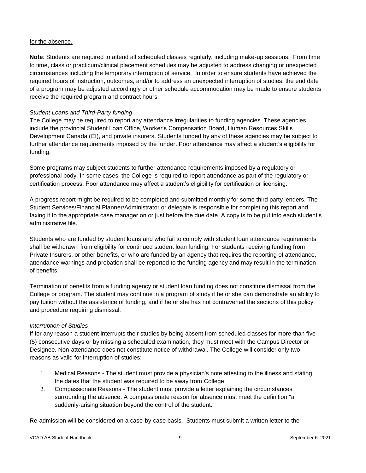#### for the absence.

**Note**: Students are required to attend all scheduled classes regularly, including make-up sessions. From time to time, class or practicum/clinical placement schedules may be adjusted to address changing or unexpected circumstances including the temporary interruption of service. In order to ensure students have achieved the required hours of instruction, outcomes, and/or to address an unexpected interruption of studies, the end date of a program may be adjusted accordingly or other schedule accommodation may be made to ensure students receive the required program and contract hours.

# *Student Loans and Third-Party funding*

The College may be required to report any attendance irregularities to funding agencies. These agencies include the provincial Student Loan Office, Worker's Compensation Board, Human Resources Skills Development Canada (EI), and private insurers. Students funded by any of these agencies may be subject to further attendance requirements imposed by the funder. Poor attendance may affect a student's eligibility for funding.

Some programs may subject students to further attendance requirements imposed by a regulatory or professional body. In some cases, the College is required to report attendance as part of the regulatory or certification process. Poor attendance may affect a student's eligibility for certification or licensing.

A progress report might be required to be completed and submitted monthly for some third party lenders. The Student Services/Financial Planner/Administrator or delegate is responsible for completing this report and faxing it to the appropriate case manager on or just before the due date. A copy is to be put into each student's administrative file.

Students who are funded by student loans and who fail to comply with student loan attendance requirements shall be withdrawn from eligibility for continued student loan funding. For students receiving funding from Private Insurers, or other benefits, or who are funded by an agency that requires the reporting of attendance, attendance warnings and probation shall be reported to the funding agency and may result in the termination of benefits.

Termination of benefits from a funding agency or student loan funding does not constitute dismissal from the College or program. The student may continue in a program of study if he or she can demonstrate an ability to pay tuition without the assistance of funding, and if he or she has not contravened the sections of this policy and procedure requiring dismissal.

#### *Interruption of Studies*

If for any reason a student interrupts their studies by being absent from scheduled classes for more than five (5) consecutive days or by missing a scheduled examination, they must meet with the Campus Director or Designee. Non-attendance does not constitute notice of withdrawal. The College will consider only two reasons as valid for interruption of studies:

- 1. Medical Reasons The student must provide a physician's note attesting to the illness and stating the dates that the student was required to be away from College.
- 2. Compassionate Reasons The student must provide a letter explaining the circumstances surrounding the absence. A compassionate reason for absence must meet the definition "a suddenly-arising situation beyond the control of the student."

Re-admission will be considered on a case-by-case basis. Students must submit a written letter to the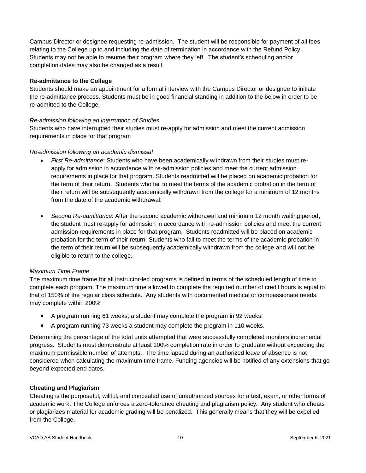Campus Director or designee requesting re-admission. The student will be responsible for payment of all fees relating to the College up to and including the date of termination in accordance with the Refund Policy. Students may not be able to resume their program where they left. The student's scheduling and/or completion dates may also be changed as a result.

#### <span id="page-9-0"></span>**Re-admittance to the College**

Students should make an appointment for a formal interview with the Campus Director or designee to initiate the re-admittance process. Students must be in good financial standing in addition to the below in order to be re-admitted to the College.

#### *Re-admission following an interruption of Studies*

Students who have interrupted their studies must re-apply for admission and meet the current admission requirements in place for that program

#### *Re-admission following an academic dismissal*

- *First Re-admittance*: Students who have been academically withdrawn from their studies must reapply for admission in accordance with re-admission policies and meet the current admission requirements in place for that program. Students readmitted will be placed on academic probation for the term of their return. Students who fail to meet the terms of the academic probation in the term of their return will be subsequently academically withdrawn from the college for a minimum of 12 months from the date of the academic withdrawal.
- *Second Re-admittance*: After the second academic withdrawal and minimum 12 month waiting period, the student must re-apply for admission in accordance with re-admission policies and meet the current admission requirements in place for that program. Students readmitted will be placed on academic probation for the term of their return. Students who fail to meet the terms of the academic probation in the term of their return will be subsequently academically withdrawn from the college and will not be eligible to return to the college.

#### *Maximum Time Frame*

The maximum time frame for all instructor-led programs is defined in terms of the scheduled length of time to complete each program. The maximum time allowed to complete the required number of credit hours is equal to that of 150% of the regular class schedule. Any students with documented medical or compassionate needs, may complete within 200%

- A program running 61 weeks, a student may complete the program in 92 weeks.
- A program running 73 weeks a student may complete the program in 110 weeks.

Determining the percentage of the total units attempted that were successfully completed monitors incremental progress. Students must demonstrate at least 100% completion rate in order to graduate without exceeding the maximum permissible number of attempts. The time lapsed during an authorized leave of absence is not considered when calculating the maximum time frame. Funding agencies will be notified of any extensions that go beyond expected end dates.

#### <span id="page-9-1"></span>**Cheating and Plagiarism**

Cheating is the purposeful, willful, and concealed use of unauthorized sources for a test, exam, or other forms of academic work. The College enforces a zero-tolerance cheating and plagiarism policy. Any student who cheats or plagiarizes material for academic grading will be penalized. This generally means that they will be expelled from the College.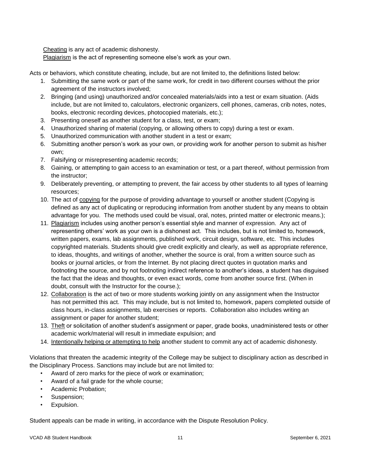Cheating is any act of academic dishonesty.

Plagiarism is the act of representing someone else's work as your own.

Acts or behaviors, which constitute cheating, include, but are not limited to, the definitions listed below:

- 1. Submitting the same work or part of the same work, for credit in two different courses without the prior agreement of the instructors involved;
- 2. Bringing (and using) unauthorized and/or concealed materials/aids into a test or exam situation. (Aids include, but are not limited to, calculators, electronic organizers, cell phones, cameras, crib notes, notes, books, electronic recording devices, photocopied materials, etc.);
- 3. Presenting oneself as another student for a class, test, or exam;
- 4. Unauthorized sharing of material (copying, or allowing others to copy) during a test or exam.
- 5. Unauthorized communication with another student in a test or exam;
- 6. Submitting another person's work as your own, or providing work for another person to submit as his/her own;
- 7. Falsifying or misrepresenting academic records;
- 8. Gaining, or attempting to gain access to an examination or test, or a part thereof, without permission from the instructor;
- 9. Deliberately preventing, or attempting to prevent, the fair access by other students to all types of learning resources;
- 10. The act of copying for the purpose of providing advantage to yourself or another student (Copying is defined as any act of duplicating or reproducing information from another student by any means to obtain advantage for you. The methods used could be visual, oral, notes, printed matter or electronic means.);
- 11. Plagiarism includes using another person's essential style and manner of expression. Any act of representing others' work as your own is a dishonest act. This includes, but is not limited to, homework, written papers, exams, lab assignments, published work, circuit design, software, etc. This includes copyrighted materials. Students should give credit explicitly and clearly, as well as appropriate reference, to ideas, thoughts, and writings of another, whether the source is oral, from a written source such as books or journal articles, or from the Internet. By not placing direct quotes in quotation marks and footnoting the source, and by not footnoting indirect reference to another's ideas, a student has disguised the fact that the ideas and thoughts, or even exact words, come from another source first. (When in doubt, consult with the Instructor for the course.);
- 12. Collaboration is the act of two or more students working jointly on any assignment when the Instructor has not permitted this act. This may include, but is not limited to, homework, papers completed outside of class hours, in-class assignments, lab exercises or reports. Collaboration also includes writing an assignment or paper for another student;
- 13. Theft or solicitation of another student's assignment or paper, grade books, unadministered tests or other academic work/material will result in immediate expulsion; and
- 14. Intentionally helping or attempting to help another student to commit any act of academic dishonesty.

Violations that threaten the academic integrity of the College may be subject to disciplinary action as described in the Disciplinary Process. Sanctions may include but are not limited to:

- Award of zero marks for the piece of work or examination;
- Award of a fail grade for the whole course;
- Academic Probation;
- Suspension;
- Expulsion.

Student appeals can be made in writing, in accordance with the Dispute Resolution Policy.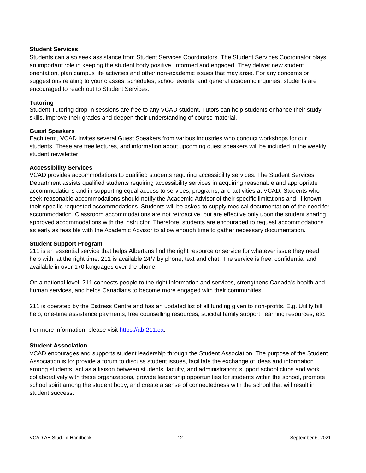#### <span id="page-11-0"></span>**Student Services**

Students can also seek assistance from Student Services Coordinators. The Student Services Coordinator plays an important role in keeping the student body positive, informed and engaged. They deliver new student orientation, plan campus life activities and other non-academic issues that may arise. For any concerns or suggestions relating to your classes, schedules, school events, and general academic inquiries, students are encouraged to reach out to Student Services.

#### **Tutoring**

Student Tutoring drop-in sessions are free to any VCAD student. Tutors can help students enhance their study skills, improve their grades and deepen their understanding of course material.

#### **Guest Speakers**

Each term, VCAD invites several Guest Speakers from various industries who conduct workshops for our students. These are free lectures, and information about upcoming guest speakers will be included in the weekly student newsletter

#### **Accessibility Services**

VCAD provides accommodations to qualified students requiring accessibility services. The Student Services Department assists qualified students requiring accessibility services in acquiring reasonable and appropriate accommodations and in supporting equal access to services, programs, and activities at VCAD. Students who seek reasonable accommodations should notify the Academic Advisor of their specific limitations and, if known, their specific requested accommodations. Students will be asked to supply medical documentation of the need for accommodation. Classroom accommodations are not retroactive, but are effective only upon the student sharing approved accommodations with the instructor. Therefore, students are encouraged to request accommodations as early as feasible with the Academic Advisor to allow enough time to gather necessary documentation.

#### **Student Support Program**

211 is an essential service that helps Albertans find the right resource or service for whatever issue they need help with, at the right time. 211 is available 24/7 by phone, text and chat. The service is free, confidential and available in over 170 languages over the phone.

On a national level, 211 connects people to the right information and services, strengthens Canada's health and human services, and helps Canadians to become more engaged with their communities.

211 is operated by the Distress Centre and has an updated list of all funding given to non-profits. E.g. Utility bill help, one-time assistance payments, free counselling resources, suicidal family support, learning resources, etc.

For more information, please visit [https://ab.211.ca.](https://ab.211.ca/)

#### <span id="page-11-1"></span>**Student Association**

VCAD encourages and supports student leadership through the Student Association. The purpose of the Student Association is to: provide a forum to discuss student issues, facilitate the exchange of ideas and information among students, act as a liaison between students, faculty, and administration; support school clubs and work collaboratively with these organizations, provide leadership opportunities for students within the school, promote school spirit among the student body, and create a sense of connectedness with the school that will result in student success.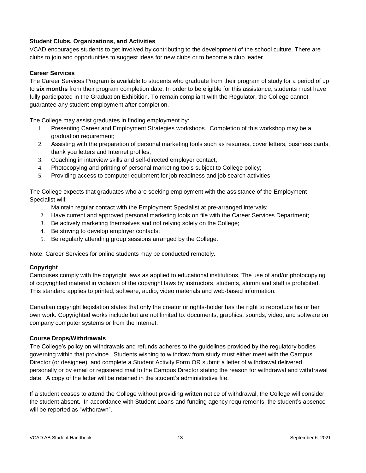# <span id="page-12-0"></span>**Student Clubs, Organizations, and Activities**

VCAD encourages students to get involved by contributing to the development of the school culture. There are clubs to join and opportunities to suggest ideas for new clubs or to become a club leader.

#### <span id="page-12-1"></span>**Career Services**

The Career Services Program is available to students who graduate from their program of study for a period of up to **six months** from their program completion date. In order to be eligible for this assistance, students must have fully participated in the Graduation Exhibition. To remain compliant with the Regulator, the College cannot guarantee any student employment after completion.

The College may assist graduates in finding employment by:

- 1. Presenting Career and Employment Strategies workshops. Completion of this workshop may be a graduation requirement;
- 2. Assisting with the preparation of personal marketing tools such as resumes, cover letters, business cards, thank you letters and Internet profiles;
- 3. Coaching in interview skills and self-directed employer contact;
- 4. Photocopying and printing of personal marketing tools subject to College policy;
- 5. Providing access to computer equipment for job readiness and job search activities.

The College expects that graduates who are seeking employment with the assistance of the Employment Specialist will:

- 1. Maintain regular contact with the Employment Specialist at pre-arranged intervals;
- 2. Have current and approved personal marketing tools on file with the Career Services Department;
- 3. Be actively marketing themselves and not relying solely on the College;
- 4. Be striving to develop employer contacts;
- 5. Be regularly attending group sessions arranged by the College.

Note: Career Services for online students may be conducted remotely.

#### **Copyright**

Campuses comply with the copyright laws as applied to educational institutions. The use of and/or photocopying of copyrighted material in violation of the copyright laws by instructors, students, alumni and staff is prohibited. This standard applies to printed, software, audio, video materials and web-based information.

Canadian copyright legislation states that only the creator or rights-holder has the right to reproduce his or her own work. Copyrighted works include but are not limited to: documents, graphics, sounds, video, and software on company computer systems or from the Internet.

#### <span id="page-12-2"></span>**Course Drops/Withdrawals**

The College's policy on withdrawals and refunds adheres to the guidelines provided by the regulatory bodies governing within that province. Students wishing to withdraw from study must either meet with the Campus Director (or designee), and complete a Student Activity Form OR submit a letter of withdrawal delivered personally or by email or registered mail to the Campus Director stating the reason for withdrawal and withdrawal date. A copy of the letter will be retained in the student's administrative file.

If a student ceases to attend the College without providing written notice of withdrawal, the College will consider the student absent. In accordance with Student Loans and funding agency requirements, the student's absence will be reported as "withdrawn".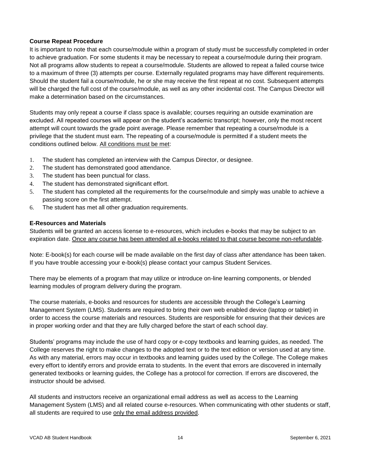#### <span id="page-13-0"></span>**Course Repeat Procedure**

It is important to note that each course/module within a program of study must be successfully completed in order to achieve graduation. For some students it may be necessary to repeat a course/module during their program. Not all programs allow students to repeat a course/module. Students are allowed to repeat a failed course twice to a maximum of three (3) attempts per course. Externally regulated programs may have different requirements. Should the student fail a course/module, he or she may receive the first repeat at no cost. Subsequent attempts will be charged the full cost of the course/module, as well as any other incidental cost. The Campus Director will make a determination based on the circumstances.

Students may only repeat a course if class space is available; courses requiring an outside examination are excluded. All repeated courses will appear on the student's academic transcript; however, only the most recent attempt will count towards the grade point average. Please remember that repeating a course/module is a privilege that the student must earn. The repeating of a course/module is permitted if a student meets the conditions outlined below. All conditions must be met:

- 1. The student has completed an interview with the Campus Director, or designee.
- 2. The student has demonstrated good attendance.
- 3. The student has been punctual for class.
- 4. The student has demonstrated significant effort.
- 5. The student has completed all the requirements for the course/module and simply was unable to achieve a passing score on the first attempt.
- 6. The student has met all other graduation requirements.

#### <span id="page-13-1"></span>**E-Resources and Materials**

Students will be granted an access license to e-resources, which includes e-books that may be subject to an expiration date. Once any course has been attended all e-books related to that course become non-refundable.

Note: E-book(s) for each course will be made available on the first day of class after attendance has been taken. If you have trouble accessing your e-book(s) please contact your campus Student Services.

There may be elements of a program that may utilize or introduce on-line learning components, or blended learning modules of program delivery during the program.

The course materials, e-books and resources for students are accessible through the College's Learning Management System (LMS). Students are required to bring their own web enabled device (laptop or tablet) in order to access the course materials and resources. Students are responsible for ensuring that their devices are in proper working order and that they are fully charged before the start of each school day.

Students' programs may include the use of hard copy or e-copy textbooks and learning guides, as needed. The College reserves the right to make changes to the adopted text or to the text edition or version used at any time. As with any material, errors may occur in textbooks and learning guides used by the College. The College makes every effort to identify errors and provide errata to students. In the event that errors are discovered in internally generated textbooks or learning guides, the College has a protocol for correction. If errors are discovered, the instructor should be advised.

All students and instructors receive an organizational email address as well as access to the Learning Management System (LMS) and all related course e-resources. When communicating with other students or staff, all students are required to use only the email address provided.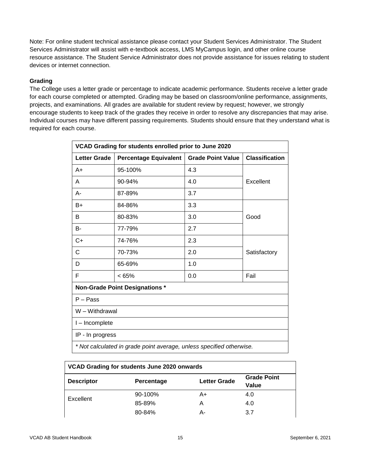Note: For online student technical assistance please contact your Student Services Administrator. The Student Services Administrator will assist with e-textbook access, LMS MyCampus login, and other online course resource assistance. The Student Service Administrator does not provide assistance for issues relating to student devices or internet connection.

# <span id="page-14-0"></span>**Grading**

The College uses a letter grade or percentage to indicate academic performance. Students receive a letter grade for each course completed or attempted. Grading may be based on classroom/online performance, assignments, projects, and examinations. All grades are available for student review by request; however, we strongly encourage students to keep track of the grades they receive in order to resolve any discrepancies that may arise. Individual courses may have different passing requirements. Students should ensure that they understand what is required for each course.

| VCAD Grading for students enrolled prior to June 2020 |                                                                      |                          |                       |
|-------------------------------------------------------|----------------------------------------------------------------------|--------------------------|-----------------------|
| <b>Letter Grade</b>                                   | <b>Percentage Equivalent</b>                                         | <b>Grade Point Value</b> | <b>Classification</b> |
| A+                                                    | 95-100%                                                              | 4.3                      |                       |
| A                                                     | 90-94%                                                               | 4.0                      | Excellent             |
| A-                                                    | 87-89%                                                               | 3.7                      |                       |
| B+                                                    | 84-86%                                                               | 3.3                      |                       |
| B                                                     | 80-83%                                                               | 3.0                      | Good                  |
| B-                                                    | 77-79%                                                               | 2.7                      |                       |
| C+                                                    | 74-76%                                                               | 2.3                      |                       |
| С                                                     | 70-73%                                                               | 2.0                      | Satisfactory          |
| D                                                     | 65-69%                                                               | 1.0                      |                       |
| F                                                     | < 65%                                                                | 0.0                      | Fail                  |
|                                                       | <b>Non-Grade Point Designations *</b>                                |                          |                       |
| $P - Pass$                                            |                                                                      |                          |                       |
| W - Withdrawal                                        |                                                                      |                          |                       |
| I-Incomplete                                          |                                                                      |                          |                       |
| IP - In progress                                      |                                                                      |                          |                       |
|                                                       | * Not calculated in grade point average, unless specified otherwise. |                          |                       |

| VCAD Grading for students June 2020 onwards |            |                     |                             |
|---------------------------------------------|------------|---------------------|-----------------------------|
| <b>Descriptor</b>                           | Percentage | <b>Letter Grade</b> | <b>Grade Point</b><br>Value |
| Excellent                                   | 90-100%    | A+                  | 4.0                         |
|                                             | 85-89%     | А                   | 4.0                         |
|                                             | 80-84%     | А-                  | 3.7                         |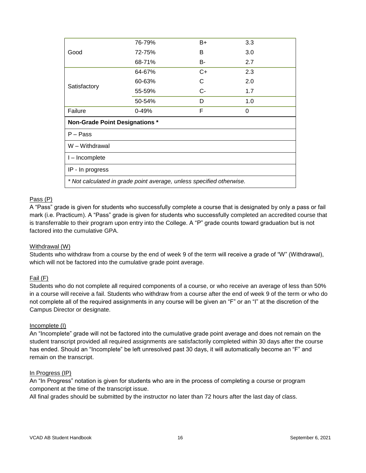|                                                                      | 76-79%    | $B+$ | 3.3 |
|----------------------------------------------------------------------|-----------|------|-----|
| Good                                                                 | 72-75%    | B    | 3.0 |
|                                                                      | 68-71%    | B-   | 2.7 |
|                                                                      | 64-67%    | $C+$ | 2.3 |
|                                                                      | 60-63%    | С    | 2.0 |
| Satisfactory                                                         | 55-59%    | $C-$ | 1.7 |
|                                                                      | 50-54%    | D    | 1.0 |
| Failure                                                              | $0 - 49%$ | F    | 0   |
| <b>Non-Grade Point Designations *</b>                                |           |      |     |
| $P - Pass$                                                           |           |      |     |
| W - Withdrawal                                                       |           |      |     |
| I - Incomplete                                                       |           |      |     |
| IP - In progress                                                     |           |      |     |
| * Not calculated in grade point average, unless specified otherwise. |           |      |     |

#### Pass (P)

A "Pass" grade is given for students who successfully complete a course that is designated by only a pass or fail mark (i.e. Practicum). A "Pass" grade is given for students who successfully completed an accredited course that is transferrable to their program upon entry into the College. A "P" grade counts toward graduation but is not factored into the cumulative GPA.

#### Withdrawal (W)

Students who withdraw from a course by the end of week 9 of the term will receive a grade of "W" (Withdrawal), which will not be factored into the cumulative grade point average.

#### Fail (F)

Students who do not complete all required components of a course, or who receive an average of less than 50% in a course will receive a fail. Students who withdraw from a course after the end of week 9 of the term or who do not complete all of the required assignments in any course will be given an "F" or an "I" at the discretion of the Campus Director or designate.

#### Incomplete (I)

An "Incomplete" grade will not be factored into the cumulative grade point average and does not remain on the student transcript provided all required assignments are satisfactorily completed within 30 days after the course has ended. Should an "Incomplete" be left unresolved past 30 days, it will automatically become an "F" and remain on the transcript.

#### In Progress (IP)

An "In Progress" notation is given for students who are in the process of completing a course or program component at the time of the transcript issue.

All final grades should be submitted by the instructor no later than 72 hours after the last day of class.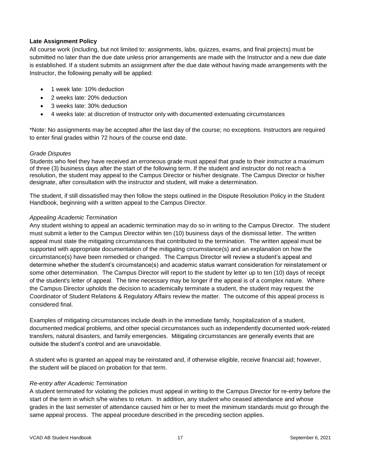# <span id="page-16-0"></span>**Late Assignment Policy**

All course work (including, but not limited to: assignments, labs, quizzes, exams, and final projects) must be submitted no later than the due date unless prior arrangements are made with the Instructor and a new due date is established. If a student submits an assignment after the due date without having made arrangements with the Instructor, the following penalty will be applied:

- 1 week late: 10% deduction
- 2 weeks late: 20% deduction
- 3 weeks late: 30% deduction
- 4 weeks late: at discretion of Instructor only with documented extenuating circumstances

\*Note: No assignments may be accepted after the last day of the course; no exceptions. Instructors are required to enter final grades within 72 hours of the course end date.

#### *Grade Disputes*

Students who feel they have received an erroneous grade must appeal that grade to their instructor a maximum of three (3) business days after the start of the following term. If the student and instructor do not reach a resolution, the student may appeal to the Campus Director or his/her designate. The Campus Director or his/her designate, after consultation with the instructor and student, will make a determination.

The student, if still dissatisfied may then follow the steps outlined in the Dispute Resolution Policy in the Student Handbook, beginning with a written appeal to the Campus Director.

#### *Appealing Academic Termination*

Any student wishing to appeal an academic termination may do so in writing to the Campus Director. The student must submit a letter to the Campus Director within ten (10) business days of the dismissal letter. The written appeal must state the mitigating circumstances that contributed to the termination. The written appeal must be supported with appropriate documentation of the mitigating circumstance(s) and an explanation on how the circumstance(s) have been remedied or changed. The Campus Director will review a student's appeal and determine whether the student's circumstance(s) and academic status warrant consideration for reinstatement or some other determination. The Campus Director will report to the student by letter up to ten (10) days of receipt of the student's letter of appeal. The time necessary may be longer if the appeal is of a complex nature. Where the Campus Director upholds the decision to academically terminate a student, the student may request the Coordinator of Student Relations & Regulatory Affairs review the matter. The outcome of this appeal process is considered final.

Examples of mitigating circumstances include death in the immediate family, hospitalization of a student, documented medical problems, and other special circumstances such as independently documented work-related transfers, natural disasters, and family emergencies. Mitigating circumstances are generally events that are outside the student's control and are unavoidable.

A student who is granted an appeal may be reinstated and, if otherwise eligible, receive financial aid; however, the student will be placed on probation for that term.

#### *Re-entry after Academic Termination*

A student terminated for violating the policies must appeal in writing to the Campus Director for re-entry before the start of the term in which s/he wishes to return. In addition, any student who ceased attendance and whose grades in the last semester of attendance caused him or her to meet the minimum standards must go through the same appeal process. The appeal procedure described in the preceding section applies.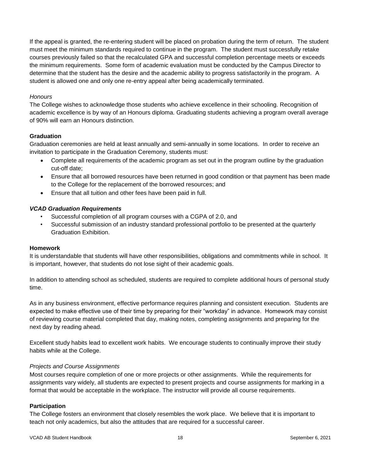If the appeal is granted, the re-entering student will be placed on probation during the term of return. The student must meet the minimum standards required to continue in the program. The student must successfully retake courses previously failed so that the recalculated GPA and successful completion percentage meets or exceeds the minimum requirements. Some form of academic evaluation must be conducted by the Campus Director to determine that the student has the desire and the academic ability to progress satisfactorily in the program. A student is allowed one and only one re-entry appeal after being academically terminated.

#### *Honours*

The College wishes to acknowledge those students who achieve excellence in their schooling. Recognition of academic excellence is by way of an Honours diploma. Graduating students achieving a program overall average of 90% will earn an Honours distinction.

#### <span id="page-17-0"></span>**Graduation**

Graduation ceremonies are held at least annually and semi-annually in some locations. In order to receive an invitation to participate in the Graduation Ceremony, students must:

- Complete all requirements of the academic program as set out in the program outline by the graduation cut-off date;
- Ensure that all borrowed resources have been returned in good condition or that payment has been made to the College for the replacement of the borrowed resources; and
- Ensure that all tuition and other fees have been paid in full.

#### *VCAD Graduation Requirements*

- Successful completion of all program courses with a CGPA of 2.0, and
- Successful submission of an industry standard professional portfolio to be presented at the quarterly Graduation Exhibition.

#### <span id="page-17-1"></span>**Homework**

It is understandable that students will have other responsibilities, obligations and commitments while in school. It is important, however, that students do not lose sight of their academic goals.

In addition to attending school as scheduled, students are required to complete additional hours of personal study time.

As in any business environment, effective performance requires planning and consistent execution. Students are expected to make effective use of their time by preparing for their "workday" in advance. Homework may consist of reviewing course material completed that day, making notes, completing assignments and preparing for the next day by reading ahead.

Excellent study habits lead to excellent work habits. We encourage students to continually improve their study habits while at the College.

#### *Projects and Course Assignments*

Most courses require completion of one or more projects or other assignments. While the requirements for assignments vary widely, all students are expected to present projects and course assignments for marking in a format that would be acceptable in the workplace. The instructor will provide all course requirements.

#### <span id="page-17-2"></span>**Participation**

The College fosters an environment that closely resembles the work place. We believe that it is important to teach not only academics, but also the attitudes that are required for a successful career.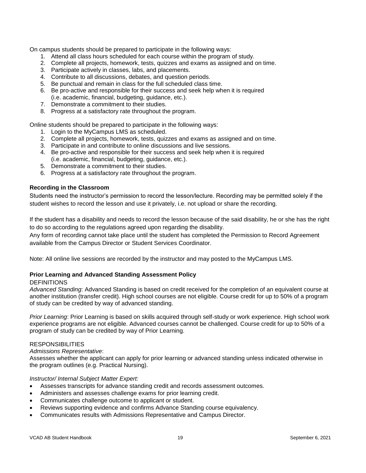On campus students should be prepared to participate in the following ways:

- 1. Attend all class hours scheduled for each course within the program of study.
- 2. Complete all projects, homework, tests, quizzes and exams as assigned and on time.
- 3. Participate actively in classes, labs, and placements.
- 4. Contribute to all discussions, debates, and question periods.
- 5. Be punctual and remain in class for the full scheduled class time.
- 6. Be pro-active and responsible for their success and seek help when it is required (i.e. academic, financial, budgeting, guidance, etc.).
- 7. Demonstrate a commitment to their studies.
- 8. Progress at a satisfactory rate throughout the program.

Online students should be prepared to participate in the following ways:

- 1. Login to the MyCampus LMS as scheduled.
- 2. Complete all projects, homework, tests, quizzes and exams as assigned and on time.
- 3. Participate in and contribute to online discussions and live sessions.
- 4. Be pro-active and responsible for their success and seek help when it is required (i.e. academic, financial, budgeting, guidance, etc.).
- 5. Demonstrate a commitment to their studies.
- 6. Progress at a satisfactory rate throughout the program.

#### **Recording in the Classroom**

Students need the instructor's permission to record the lesson/lecture. Recording may be permitted solely if the student wishes to record the lesson and use it privately, i.e. not upload or share the recording.

If the student has a disability and needs to record the lesson because of the said disability, he or she has the right to do so according to the regulations agreed upon regarding the disability.

Any form of recording cannot take place until the student has completed the Permission to Record Agreement available from the Campus Director or Student Services Coordinator.

Note: All online live sessions are recorded by the instructor and may posted to the MyCampus LMS.

# <span id="page-18-0"></span>**Prior Learning and Advanced Standing Assessment Policy**

#### **DEFINITIONS**

*Advanced Standing*: Advanced Standing is based on credit received for the completion of an equivalent course at another institution (transfer credit). High school courses are not eligible. Course credit for up to 50% of a program of study can be credited by way of advanced standing.

*Prior Learning*: Prior Learning is based on skills acquired through self-study or work experience. High school work experience programs are not eligible. Advanced courses cannot be challenged. Course credit for up to 50% of a program of study can be credited by way of Prior Learning.

#### RESPONSIBILITIES

*Admissions Representative*:

Assesses whether the applicant can apply for prior learning or advanced standing unless indicated otherwise in the program outlines (e.g. Practical Nursing).

#### *Instructor/ Internal Subject Matter Expert:*

- Assesses transcripts for advance standing credit and records assessment outcomes.
- Administers and assesses challenge exams for prior learning credit.
- Communicates challenge outcome to applicant or student.
- Reviews supporting evidence and confirms Advance Standing course equivalency.
- Communicates results with Admissions Representative and Campus Director.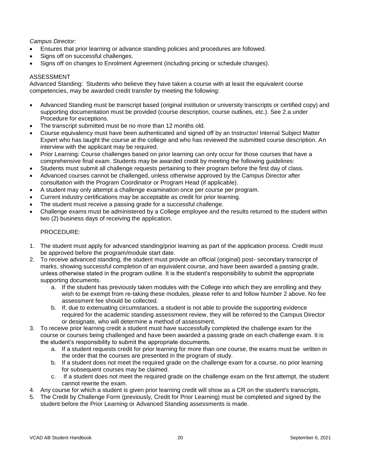# *Campus Director:*

- Ensures that prior learning or advance standing policies and procedures are followed.
- Signs off on successful challenges.
- Signs off on changes to Enrolment Agreement (including pricing or schedule changes).

#### ASSESSMENT

Advanced Standing: Students who believe they have taken a course with at least the equivalent course competencies, may be awarded credit transfer by meeting the following:

- Advanced Standing must be transcript based (original institution or university transcripts or certified copy) and supporting documentation must be provided (course description, course outlines, etc.). See 2.a under Procedure for exceptions.
- The transcript submitted must be no more than 12 months old.
- Course equivalency must have been authenticated and signed off by an Instructor/ Internal Subject Matter Expert who has taught the course at the college and who has reviewed the submitted course description. An interview with the applicant may be required.
- Prior Learning: Course challenges based on prior learning can only occur for those courses that have a comprehensive final exam. Students may be awarded credit by meeting the following guidelines:
- Students must submit all challenge requests pertaining to their program before the first day of class.
- Advanced courses cannot be challenged, unless otherwise approved by the Campus Director after consultation with the Program Coordinator or Program Head (if applicable).
- A student may only attempt a challenge examination once per course per program.
- Current industry certifications may be acceptable as credit for prior learning.
- The student must receive a passing grade for a successful challenge.
- Challenge exams must be administered by a College employee and the results returned to the student within two (2) business days of receiving the application.

#### PROCEDURE:

- 1. The student must apply for advanced standing/prior learning as part of the application process. Credit must be approved before the program/module start date.
- 2. To receive advanced standing, the student must provide an official (original) post- secondary transcript of marks, showing successful completion of an equivalent course, and have been awarded a passing grade, unless otherwise stated in the program outline. It is the student's responsibility to submit the appropriate supporting documents.
	- a. If the student has previously taken modules with the College into which they are enrolling and they wish to be exempt from re-taking these modules, please refer to and follow Number 2 above. No fee assessment fee should be collected.
	- b. If, due to extenuating circumstances, a student is not able to provide the supporting evidence required for the academic standing assessment review, they will be referred to the Campus Director or designate, who will determine a method of assessment.
- 3. To receive prior learning credit a student must have successfully completed the challenge exam for the course or courses being challenged and have been awarded a passing grade on each challenge exam. It is the student's responsibility to submit the appropriate documents.
	- a. If a student requests credit for prior learning for more than one course, the exams must be written in the order that the courses are presented in the program of study.
	- b. If a student does not meet the required grade on the challenge exam for a course, no prior learning for subsequent courses may be claimed.
	- c. If a student does not meet the required grade on the challenge exam on the first attempt, the student cannot rewrite the exam.
- 4. Any course for which a student is given prior learning credit will show as a CR on the student's transcripts.
- 5. The Credit by Challenge Form (previously, Credit for Prior Learning) must be completed and signed by the student before the Prior Learning or Advanced Standing assessments is made.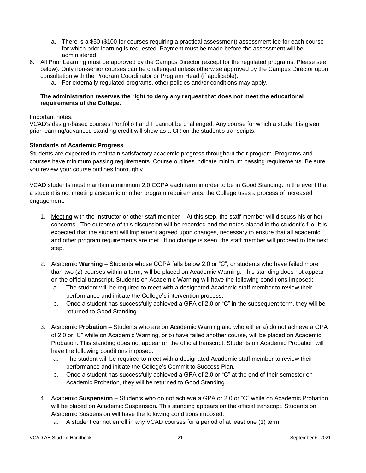- a. There is a \$50 (\$100 for courses requiring a practical assessment) assessment fee for each course for which prior learning is requested. Payment must be made before the assessment will be administered.
- 6. All Prior Learning must be approved by the Campus Director (except for the regulated programs. Please see below). Only non-senior courses can be challenged unless otherwise approved by the Campus Director upon consultation with the Program Coordinator or Program Head (if applicable).
	- a. For externally regulated programs, other policies and/or conditions may apply.

#### **The administration reserves the right to deny any request that does not meet the educational requirements of the College.**

#### Important notes:

VCAD's design-based courses Portfolio I and II cannot be challenged. Any course for which a student is given prior learning/advanced standing credit will show as a CR on the student's transcripts.

# <span id="page-20-0"></span>**Standards of Academic Progress**

Students are expected to maintain satisfactory academic progress throughout their program. Programs and courses have minimum passing requirements. Course outlines indicate minimum passing requirements. Be sure you review your course outlines thoroughly.

VCAD students must maintain a minimum 2.0 CGPA each term in order to be in Good Standing. In the event that a student is not meeting academic or other program requirements, the College uses a process of increased engagement:

- 1. Meeting with the Instructor or other staff member At this step, the staff member will discuss his or her concerns. The outcome of this discussion will be recorded and the notes placed in the student's file. It is expected that the student will implement agreed upon changes, necessary to ensure that all academic and other program requirements are met. If no change is seen, the staff member will proceed to the next step.
- 2. Academic **Warning** Students whose CGPA falls below 2.0 or "C", or students who have failed more than two (2) courses within a term, will be placed on Academic Warning. This standing does not appear on the official transcript. Students on Academic Warning will have the following conditions imposed:
	- a. The student will be required to meet with a designated Academic staff member to review their performance and initiate the College's intervention process.
	- b. Once a student has successfully achieved a GPA of 2.0 or "C" in the subsequent term, they will be returned to Good Standing.
- 3. Academic **Probation** Students who are on Academic Warning and who either a) do not achieve a GPA of 2.0 or "C" while on Academic Warning, or b) have failed another course, will be placed on Academic Probation. This standing does not appear on the official transcript. Students on Academic Probation will have the following conditions imposed:
	- a. The student will be required to meet with a designated Academic staff member to review their performance and initiate the College's Commit to Success Plan.
	- b. Once a student has successfully achieved a GPA of 2.0 or "C" at the end of their semester on Academic Probation, they will be returned to Good Standing.
- 4. Academic **Suspension** Students who do not achieve a GPA or 2.0 or "C" while on Academic Probation will be placed on Academic Suspension. This standing appears on the official transcript. Students on Academic Suspension will have the following conditions imposed:
	- a. A student cannot enroll in any VCAD courses for a period of at least one (1) term.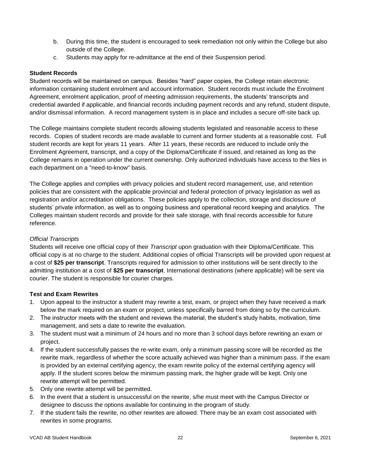- b. During this time, the student is encouraged to seek remediation not only within the College but also outside of the College.
- c. Students may apply for re-admittance at the end of their Suspension period.

# <span id="page-21-0"></span>**Student Records**

Student records will be maintained on campus. Besides "hard" paper copies, the College retain electronic information containing student enrolment and account information. Student records must include the Enrolment Agreement, enrolment application, proof of meeting admission requirements, the students' transcripts and credential awarded if applicable, and financial records including payment records and any refund, student dispute, and/or dismissal information. A record management system is in place and includes a secure off-site back up.

The College maintains complete student records allowing students legislated and reasonable access to these records. Copies of student records are made available to current and former students at a reasonable cost. Full student records are kept for years 11 years. After 11 years, these records are reduced to include only the Enrolment Agreement, transcript, and a copy of the Diploma/Certificate if issued, and retained as long as the College remains in operation under the current ownership. Only authorized individuals have access to the files in each department on a "need-to-know" basis.

The College applies and complies with privacy policies and student record management, use, and retention policies that are consistent with the applicable provincial and federal protection of privacy legislation as well as registration and/or accreditation obligations. These policies apply to the collection, storage and disclosure of students' private information, as well as to ongoing business and operational record keeping and analytics. The Colleges maintain student records and provide for their safe storage, with final records accessible for future reference.

# *Official Transcripts*

Students will receive one official copy of their *Transcript* upon graduation with their Diploma/Certificate. This official copy is at no charge to the student. Additional copies of official Transcripts will be provided upon request at a cost of **\$25 per transcript**. Transcripts required for admission to other institutions will be sent directly to the admitting institution at a cost of **\$25 per transcript**. International destinations (where applicable) will be sent via courier. The student is responsible for courier charges.

#### <span id="page-21-1"></span>**Test and Exam Rewrites**

- 1. Upon appeal to the instructor a student may rewrite a test, exam, or project when they have received a mark below the mark required on an exam or project, unless specifically barred from doing so by the curriculum.
- 2. The instructor meets with the student and reviews the material, the student's study habits, motivation, time management, and sets a date to rewrite the evaluation.
- 3. The student must wait a minimum of 24 hours and no more than 3 school days before rewriting an exam or project.
- 4. If the student successfully passes the re-write exam, only a minimum passing score will be recorded as the rewrite mark, regardless of whether the score actually achieved was higher than a minimum pass. If the exam is provided by an external certifying agency, the exam rewrite policy of the external certifying agency will apply. If the student scores below the minimum passing mark, the higher grade will be kept. Only one rewrite attempt will be permitted.
- 5. Only one rewrite attempt will be permitted.
- 6. In the event that a student is unsuccessful on the rewrite, s/he must meet with the Campus Director or designee to discuss the options available for continuing in the program of study.
- 7. If the student fails the rewrite, no other rewrites are allowed. There may be an exam cost associated with rewrites in some programs.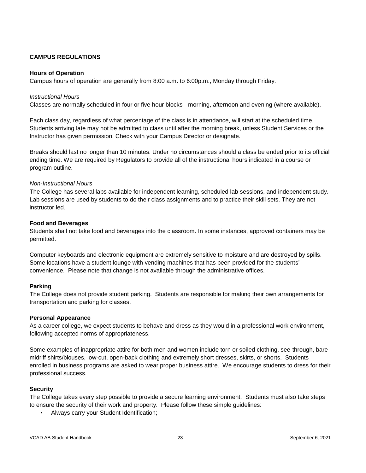# <span id="page-22-0"></span>**CAMPUS REGULATIONS**

#### <span id="page-22-1"></span>**Hours of Operation**

Campus hours of operation are generally from 8:00 a.m. to 6:00p.m., Monday through Friday.

#### *Instructional Hours*

Classes are normally scheduled in four or five hour blocks - morning, afternoon and evening (where available).

Each class day, regardless of what percentage of the class is in attendance, will start at the scheduled time. Students arriving late may not be admitted to class until after the morning break, unless Student Services or the Instructor has given permission. Check with your Campus Director or designate.

Breaks should last no longer than 10 minutes. Under no circumstances should a class be ended prior to its official ending time. We are required by Regulators to provide all of the instructional hours indicated in a course or program outline.

#### *Non-Instructional Hours*

The College has several labs available for independent learning, scheduled lab sessions, and independent study. Lab sessions are used by students to do their class assignments and to practice their skill sets. They are not instructor led.

#### <span id="page-22-2"></span>**Food and Beverages**

Students shall not take food and beverages into the classroom. In some instances, approved containers may be permitted.

Computer keyboards and electronic equipment are extremely sensitive to moisture and are destroyed by spills. Some locations have a student lounge with vending machines that has been provided for the students' convenience. Please note that change is not available through the administrative offices.

#### <span id="page-22-3"></span>**Parking**

The College does not provide student parking. Students are responsible for making their own arrangements for transportation and parking for classes.

#### <span id="page-22-4"></span>**Personal Appearance**

As a career college, we expect students to behave and dress as they would in a professional work environment, following accepted norms of appropriateness.

Some examples of inappropriate attire for both men and women include torn or soiled clothing, see-through, baremidriff shirts/blouses, low-cut, open-back clothing and extremely short dresses, skirts, or shorts. Students enrolled in business programs are asked to wear proper business attire. We encourage students to dress for their professional success.

#### <span id="page-22-5"></span>**Security**

The College takes every step possible to provide a secure learning environment. Students must also take steps to ensure the security of their work and property. Please follow these simple guidelines:

• Always carry your Student Identification;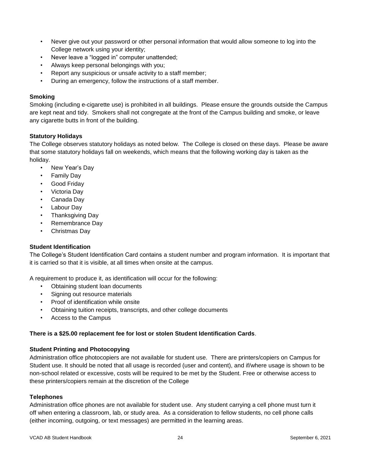- Never give out your password or other personal information that would allow someone to log into the College network using your identity;
- Never leave a "logged in" computer unattended;
- Always keep personal belongings with you;
- Report any suspicious or unsafe activity to a staff member;
- During an emergency, follow the instructions of a staff member.

#### <span id="page-23-0"></span>**Smoking**

Smoking (including e-cigarette use) is prohibited in all buildings. Please ensure the grounds outside the Campus are kept neat and tidy. Smokers shall not congregate at the front of the Campus building and smoke, or leave any cigarette butts in front of the building.

#### <span id="page-23-1"></span>**Statutory Holidays**

The College observes statutory holidays as noted below. The College is closed on these days. Please be aware that some statutory holidays fall on weekends, which means that the following working day is taken as the holiday.

- New Year's Day
- Family Day
- Good Friday
- Victoria Day
- Canada Day
- Labour Day
- Thanksgiving Day
- Remembrance Day
- Christmas Day

#### <span id="page-23-2"></span>**Student Identification**

The College's Student Identification Card contains a student number and program information. It is important that it is carried so that it is visible, at all times when onsite at the campus.

A requirement to produce it, as identification will occur for the following:

- Obtaining student loan documents
- Signing out resource materials
- Proof of identification while onsite
- Obtaining tuition receipts, transcripts, and other college documents
- Access to the Campus

#### **There is a \$25.00 replacement fee for lost or stolen Student Identification Cards**.

#### **Student Printing and Photocopying**

Administration office photocopiers are not available for student use. There are printers/copiers on Campus for Student use. It should be noted that all usage is recorded (user and content), and if/where usage is shown to be non-school related or excessive, costs will be required to be met by the Student. Free or otherwise access to these printers/copiers remain at the discretion of the College

#### <span id="page-23-3"></span>**Telephones**

Administration office phones are not available for student use. Any student carrying a cell phone must turn it off when entering a classroom, lab, or study area. As a consideration to fellow students, no cell phone calls (either incoming, outgoing, or text messages) are permitted in the learning areas.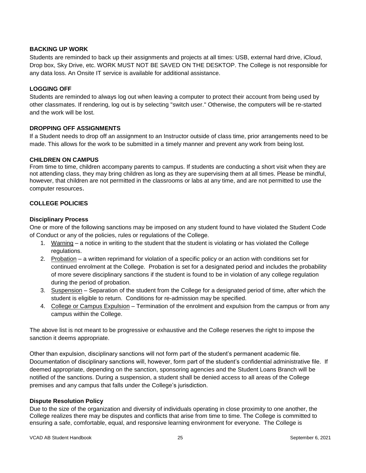# **BACKING UP WORK**

Students are reminded to back up their assignments and projects at all times: USB, external hard drive, iCloud, Drop box, Sky Drive, etc. WORK MUST NOT BE SAVED ON THE DESKTOP. The College is not responsible for any data loss. An Onsite IT service is available for additional assistance.

# **LOGGING OFF**

Students are reminded to always log out when leaving a computer to protect their account from being used by other classmates. If rendering, log out is by selecting "switch user." Otherwise, the computers will be re-started and the work will be lost.

#### **DROPPING OFF ASSIGNMENTS**

If a Student needs to drop off an assignment to an Instructor outside of class time, prior arrangements need to be made. This allows for the work to be submitted in a timely manner and prevent any work from being lost.

#### **CHILDREN ON CAMPUS**

From time to time, children accompany parents to campus. If students are conducting a short visit when they are not attending class, they may bring children as long as they are supervising them at all times. Please be mindful, however, that children are not permitted in the classrooms or labs at any time, and are not permitted to use the computer resources.

# <span id="page-24-0"></span>**COLLEGE POLICIES**

#### <span id="page-24-1"></span>**Disciplinary Process**

One or more of the following sanctions may be imposed on any student found to have violated the Student Code of Conduct or any of the policies, rules or regulations of the College.

- 1. Warning a notice in writing to the student that the student is violating or has violated the College regulations.
- 2. Probation a written reprimand for violation of a specific policy or an action with conditions set for continued enrolment at the College. Probation is set for a designated period and includes the probability of more severe disciplinary sanctions if the student is found to be in violation of any college regulation during the period of probation.
- 3. Suspension Separation of the student from the College for a designated period of time, after which the student is eligible to return. Conditions for re-admission may be specified.
- 4. College or Campus Expulsion Termination of the enrolment and expulsion from the campus or from any campus within the College.

The above list is not meant to be progressive or exhaustive and the College reserves the right to impose the sanction it deems appropriate.

Other than expulsion, disciplinary sanctions will not form part of the student's permanent academic file. Documentation of disciplinary sanctions will, however, form part of the student's confidential administrative file. If deemed appropriate, depending on the sanction, sponsoring agencies and the Student Loans Branch will be notified of the sanctions. During a suspension, a student shall be denied access to all areas of the College premises and any campus that falls under the College's jurisdiction.

# <span id="page-24-2"></span>**Dispute Resolution Policy**

Due to the size of the organization and diversity of individuals operating in close proximity to one another, the College realizes there may be disputes and conflicts that arise from time to time. The College is committed to ensuring a safe, comfortable, equal, and responsive learning environment for everyone. The College is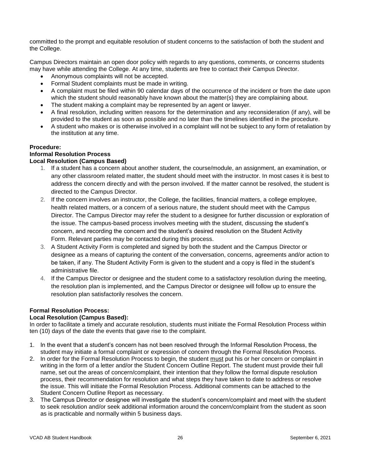committed to the prompt and equitable resolution of student concerns to the satisfaction of both the student and the College.

Campus Directors maintain an open door policy with regards to any questions, comments, or concerns students may have while attending the College. At any time, students are free to contact their Campus Director.

- Anonymous complaints will not be accepted.
- Formal Student complaints must be made in writing.
- A complaint must be filed within 90 calendar days of the occurrence of the incident or from the date upon which the student should reasonably have known about the matter(s) they are complaining about.
- The student making a complaint may be represented by an agent or lawyer.
- A final resolution, including written reasons for the determination and any reconsideration (if any), will be provided to the student as soon as possible and no later than the timelines identified in the procedure.
- A student who makes or is otherwise involved in a complaint will not be subject to any form of retaliation by the institution at any time.

#### **Procedure:**

# **Informal Resolution Process**

# **Local Resolution (Campus Based)**

- 1. If a student has a concern about another student, the course/module, an assignment, an examination, or any other classroom related matter, the student should meet with the instructor. In most cases it is best to address the concern directly and with the person involved. If the matter cannot be resolved, the student is directed to the Campus Director.
- 2. If the concern involves an instructor, the College, the facilities, financial matters, a college employee, health related matters, or a concern of a serious nature, the student should meet with the Campus Director. The Campus Director may refer the student to a designee for further discussion or exploration of the issue. The campus-based process involves meeting with the student, discussing the student's concern, and recording the concern and the student's desired resolution on the Student Activity Form. Relevant parties may be contacted during this process.
- 3. A Student Activity Form is completed and signed by both the student and the Campus Director or designee as a means of capturing the content of the conversation, concerns, agreements and/or action to be taken, if any. The Student Activity Form is given to the student and a copy is filed in the student's administrative file.
- 4. If the Campus Director or designee and the student come to a satisfactory resolution during the meeting, the resolution plan is implemented, and the Campus Director or designee will follow up to ensure the resolution plan satisfactorily resolves the concern.

# **Formal Resolution Process:**

# **Local Resolution (Campus Based):**

In order to facilitate a timely and accurate resolution, students must initiate the Formal Resolution Process within ten (10) days of the date the events that gave rise to the complaint.

- 1. In the event that a student's concern has not been resolved through the Informal Resolution Process, the student may initiate a formal complaint or expression of concern through the Formal Resolution Process.
- 2. In order for the Formal Resolution Process to begin, the student must put his or her concern or complaint in writing in the form of a letter and/or the Student Concern Outline Report. The student must provide their full name, set out the areas of concern/complaint, their intention that they follow the formal dispute resolution process, their recommendation for resolution and what steps they have taken to date to address or resolve the issue. This will initiate the Formal Resolution Process. Additional comments can be attached to the Student Concern Outline Report as necessary.
- 3. The Campus Director or designee will investigate the student's concern/complaint and meet with the student to seek resolution and/or seek additional information around the concern/complaint from the student as soon as is practicable and normally within 5 business days.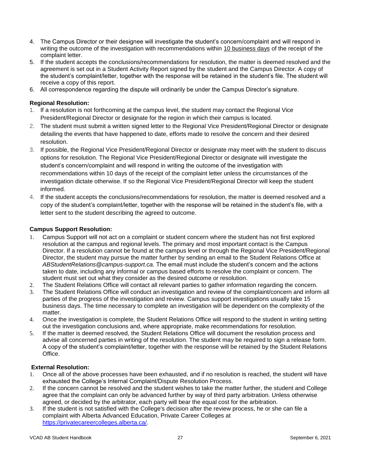- 4. The Campus Director or their designee will investigate the student's concern/complaint and will respond in writing the outcome of the investigation with recommendations within 10 business days of the receipt of the complaint letter.
- 5. If the student accepts the conclusions/recommendations for resolution, the matter is deemed resolved and the agreement is set out in a Student Activity Report signed by the student and the Campus Director. A copy of the student's complaint/letter, together with the response will be retained in the student's file. The student will receive a copy of this report.
- 6. All correspondence regarding the dispute will ordinarily be under the Campus Director's signature.

# **Regional Resolution:**

- 1. If a resolution is not forthcoming at the campus level, the student may contact the Regional Vice President/Regional Director or designate for the region in which their campus is located.
- 2. The student must submit a written signed letter to the Regional Vice President/Regional Director or designate detailing the events that have happened to date, efforts made to resolve the concern and their desired resolution.
- 3. If possible, the Regional Vice President/Regional Director or designate may meet with the student to discuss options for resolution. The Regional Vice President/Regional Director or designate will investigate the student's concern/complaint and will respond in writing the outcome of the investigation with recommendations within 10 days of the receipt of the complaint letter unless the circumstances of the investigation dictate otherwise. If so the Regional Vice President/Regional Director will keep the student informed.
- 4. If the student accepts the conclusions/recommendations for resolution, the matter is deemed resolved and a copy of the student's complaint/letter, together with the response will be retained in the student's file, with a letter sent to the student describing the agreed to outcome.

#### **Campus Support Resolution:**

- 1. Campus Support will not act on a complaint or student concern where the student has not first explored resolution at the campus and regional levels. The primary and most important contact is the Campus Director. If a resolution cannot be found at the campus level or through the Regional Vice President/Regional Director, the student may pursue the matter further by sending an email to the Student Relations Office at *ABStudentRelations@campus-support.ca*. The email must include the student's concern and the actions taken to date, including any informal or campus based efforts to resolve the complaint or concern. The student must set out what they consider as the desired outcome or resolution.
- 2. The Student Relations Office will contact all relevant parties to gather information regarding the concern.
- 3. The Student Relations Office will conduct an investigation and review of the complaint/concern and inform all parties of the progress of the investigation and review. Campus support investigations usually take 15 business days. The time necessary to complete an investigation will be dependent on the complexity of the matter.
- 4. Once the investigation is complete, the Student Relations Office will respond to the student in writing setting out the investigation conclusions and, where appropriate, make recommendations for resolution.
- 5. If the matter is deemed resolved, the Student Relations Office will document the resolution process and advise all concerned parties in writing of the resolution. The student may be required to sign a release form. A copy of the student's complaint/letter, together with the response will be retained by the Student Relations Office.

#### **External Resolution:**

- 1. Once all of the above processes have been exhausted, and if no resolution is reached, the student will have exhausted the College's Internal Complaint/Dispute Resolution Process.
- 2. If the concern cannot be resolved and the student wishes to take the matter further, the student and College agree that the complaint can only be advanced further by way of third party arbitration. Unless otherwise agreed, or decided by the arbitrator, each party will bear the equal cost for the arbitration.
- 3. If the student is not satisfied with the College's decision after the review process, he or she can file a complaint with Alberta Advanced Education, Private Career Colleges at [https://privatecareercolleges.alberta.ca/.](https://privatecareercolleges.alberta.ca/)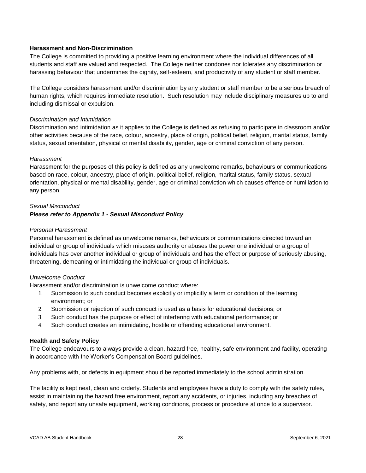#### <span id="page-27-0"></span>**Harassment and Non-Discrimination**

The College is committed to providing a positive learning environment where the individual differences of all students and staff are valued and respected. The College neither condones nor tolerates any discrimination or harassing behaviour that undermines the dignity, self-esteem, and productivity of any student or staff member.

The College considers harassment and/or discrimination by any student or staff member to be a serious breach of human rights, which requires immediate resolution. Such resolution may include disciplinary measures up to and including dismissal or expulsion.

#### *Discrimination and Intimidation*

Discrimination and intimidation as it applies to the College is defined as refusing to participate in classroom and/or other activities because of the race, colour, ancestry, place of origin, political belief, religion, marital status, family status, sexual orientation, physical or mental disability, gender, age or criminal conviction of any person.

#### *Harassment*

Harassment for the purposes of this policy is defined as any unwelcome remarks, behaviours or communications based on race, colour, ancestry, place of origin, political belief, religion, marital status, family status, sexual orientation, physical or mental disability, gender, age or criminal conviction which causes offence or humiliation to any person.

# *Sexual Misconduct Please refer to Appendix 1 - Sexual Misconduct Policy*

#### *Personal Harassment*

Personal harassment is defined as unwelcome remarks, behaviours or communications directed toward an individual or group of individuals which misuses authority or abuses the power one individual or a group of individuals has over another individual or group of individuals and has the effect or purpose of seriously abusing, threatening, demeaning or intimidating the individual or group of individuals.

# *Unwelcome Conduct*

Harassment and/or discrimination is unwelcome conduct where:

- 1. Submission to such conduct becomes explicitly or implicitly a term or condition of the learning environment; or
- 2. Submission or rejection of such conduct is used as a basis for educational decisions; or
- 3. Such conduct has the purpose or effect of interfering with educational performance; or
- 4. Such conduct creates an intimidating, hostile or offending educational environment.

#### **Health and Safety Policy**

The College endeavours to always provide a clean, hazard free, healthy, safe environment and facility, operating in accordance with the Worker's Compensation Board guidelines.

Any problems with, or defects in equipment should be reported immediately to the school administration.

The facility is kept neat, clean and orderly. Students and employees have a duty to comply with the safety rules, assist in maintaining the hazard free environment, report any accidents, or injuries, including any breaches of safety, and report any unsafe equipment, working conditions, process or procedure at once to a supervisor.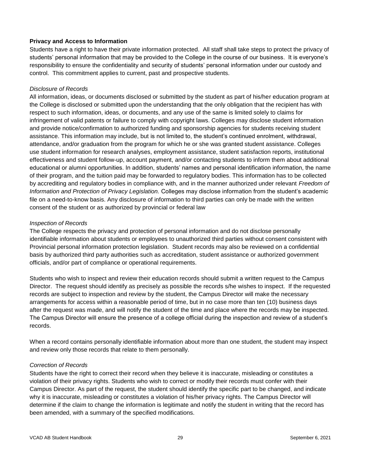#### <span id="page-28-0"></span>**Privacy and Access to Information**

Students have a right to have their private information protected. All staff shall take steps to protect the privacy of students' personal information that may be provided to the College in the course of our business. It is everyone's responsibility to ensure the confidentiality and security of students' personal information under our custody and control. This commitment applies to current, past and prospective students.

#### *Disclosure of Records*

All information, ideas, or documents disclosed or submitted by the student as part of his/her education program at the College is disclosed or submitted upon the understanding that the only obligation that the recipient has with respect to such information, ideas, or documents, and any use of the same is limited solely to claims for infringement of valid patents or failure to comply with copyright laws. Colleges may disclose student information and provide notice/confirmation to authorized funding and sponsorship agencies for students receiving student assistance. This information may include, but is not limited to, the student's continued enrolment, withdrawal, attendance, and/or graduation from the program for which he or she was granted student assistance. Colleges use student information for research analyses, employment assistance, student satisfaction reports, institutional effectiveness and student follow-up, account payment, and/or contacting students to inform them about additional educational or alumni opportunities. In addition, students' names and personal identification information, the name of their program, and the tuition paid may be forwarded to regulatory bodies. This information has to be collected by accrediting and regulatory bodies in compliance with, and in the manner authorized under relevant *Freedom of Information and Protection of Privacy Legislation.* Colleges may disclose information from the student's academic file on a need-to-know basis. Any disclosure of information to third parties can only be made with the written consent of the student or as authorized by provincial or federal law

#### *Inspection of Records*

The College respects the privacy and protection of personal information and do not disclose personally identifiable information about students or employees to unauthorized third parties without consent consistent with Provincial personal information protection legislation. Student records may also be reviewed on a confidential basis by authorized third party authorities such as accreditation, student assistance or authorized government officials, and/or part of compliance or operational requirements.

Students who wish to inspect and review their education records should submit a written request to the Campus Director. The request should identify as precisely as possible the records s/he wishes to inspect. If the requested records are subject to inspection and review by the student, the Campus Director will make the necessary arrangements for access within a reasonable period of time, but in no case more than ten (10) business days after the request was made, and will notify the student of the time and place where the records may be inspected. The Campus Director will ensure the presence of a college official during the inspection and review of a student's records.

When a record contains personally identifiable information about more than one student, the student may inspect and review only those records that relate to them personally.

#### *Correction of Records*

Students have the right to correct their record when they believe it is inaccurate, misleading or constitutes a violation of their privacy rights. Students who wish to correct or modify their records must confer with their Campus Director. As part of the request, the student should identify the specific part to be changed, and indicate why it is inaccurate, misleading or constitutes a violation of his/her privacy rights. The Campus Director will determine if the claim to change the information is legitimate and notify the student in writing that the record has been amended, with a summary of the specified modifications.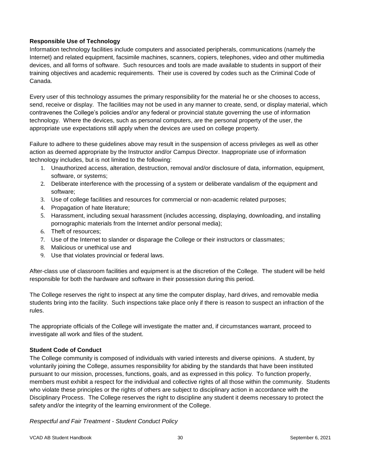# <span id="page-29-0"></span>**Responsible Use of Technology**

Information technology facilities include computers and associated peripherals, communications (namely the Internet) and related equipment, facsimile machines, scanners, copiers, telephones, video and other multimedia devices, and all forms of software. Such resources and tools are made available to students in support of their training objectives and academic requirements. Their use is covered by codes such as the Criminal Code of Canada.

Every user of this technology assumes the primary responsibility for the material he or she chooses to access, send, receive or display. The facilities may not be used in any manner to create, send, or display material, which contravenes the College's policies and/or any federal or provincial statute governing the use of information technology. Where the devices, such as personal computers, are the personal property of the user, the appropriate use expectations still apply when the devices are used on college property.

Failure to adhere to these guidelines above may result in the suspension of access privileges as well as other action as deemed appropriate by the Instructor and/or Campus Director. Inappropriate use of information technology includes, but is not limited to the following:

- 1. Unauthorized access, alteration, destruction, removal and/or disclosure of data, information, equipment, software, or systems;
- 2. Deliberate interference with the processing of a system or deliberate vandalism of the equipment and software;
- 3. Use of college facilities and resources for commercial or non-academic related purposes;
- 4. Propagation of hate literature;
- 5. Harassment, including sexual harassment (includes accessing, displaying, downloading, and installing pornographic materials from the Internet and/or personal media);
- 6. Theft of resources;
- 7. Use of the Internet to slander or disparage the College or their instructors or classmates;
- 8. Malicious or unethical use and
- 9. Use that violates provincial or federal laws.

After-class use of classroom facilities and equipment is at the discretion of the College. The student will be held responsible for both the hardware and software in their possession during this period.

The College reserves the right to inspect at any time the computer display, hard drives, and removable media students bring into the facility. Such inspections take place only if there is reason to suspect an infraction of the rules.

The appropriate officials of the College will investigate the matter and, if circumstances warrant, proceed to investigate all work and files of the student.

# <span id="page-29-1"></span>**Student Code of Conduct**

The College community is composed of individuals with varied interests and diverse opinions. A student, by voluntarily joining the College, assumes responsibility for abiding by the standards that have been instituted pursuant to our mission, processes, functions, goals, and as expressed in this policy. To function properly, members must exhibit a respect for the individual and collective rights of all those within the community. Students who violate these principles or the rights of others are subject to disciplinary action in accordance with the Disciplinary Process. The College reserves the right to discipline any student it deems necessary to protect the safety and/or the integrity of the learning environment of the College.

*Respectful and Fair Treatment - Student Conduct Policy*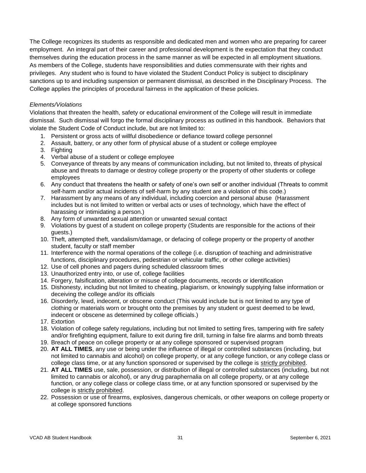The College recognizes its students as responsible and dedicated men and women who are preparing for career employment. An integral part of their career and professional development is the expectation that they conduct themselves during the education process in the same manner as will be expected in all employment situations. As members of the College, students have responsibilities and duties commensurate with their rights and privileges. Any student who is found to have violated the Student Conduct Policy is subject to disciplinary sanctions up to and including suspension or permanent dismissal, as described in the Disciplinary Process. The College applies the principles of procedural fairness in the application of these policies.

#### *Elements/Violations*

Violations that threaten the health, safety or educational environment of the College will result in immediate dismissal. Such dismissal will forgo the formal disciplinary process as outlined in this handbook. Behaviors that violate the Student Code of Conduct include, but are not limited to:

- 1. Persistent or gross acts of willful disobedience or defiance toward college personnel
- 2. Assault, battery, or any other form of physical abuse of a student or college employee
- 3. Fighting
- 4. Verbal abuse of a student or college employee
- 5. Conveyance of threats by any means of communication including, but not limited to, threats of physical abuse and threats to damage or destroy college property or the property of other students or college employees
- 6. Any conduct that threatens the health or safety of one's own self or another individual (Threats to commit self-harm and/or actual incidents of self-harm by any student are a violation of this code.)
- 7. Harassment by any means of any individual, including coercion and personal abuse (Harassment includes but is not limited to written or verbal acts or uses of technology, which have the effect of harassing or intimidating a person.)
- 8. Any form of unwanted sexual attention or unwanted sexual contact
- 9. Violations by guest of a student on college property (Students are responsible for the actions of their guests.)
- 10. Theft, attempted theft, vandalism/damage, or defacing of college property or the property of another student, faculty or staff member
- 11. Interference with the normal operations of the college (i.e. disruption of teaching and administrative functions, disciplinary procedures, pedestrian or vehicular traffic, or other college activities)
- 12. Use of cell phones and pagers during scheduled classroom times
- 13. Unauthorized entry into, or use of, college facilities
- 14. Forgery, falsification, alteration or misuse of college documents, records or identification
- 15. Dishonesty, including but not limited to cheating, plagiarism, or knowingly supplying false information or deceiving the college and/or its officials
- 16. Disorderly, lewd, indecent, or obscene conduct (This would include but is not limited to any type of clothing or materials worn or brought onto the premises by any student or guest deemed to be lewd, indecent or obscene as determined by college officials.)
- 17. Extortion
- 18. Violation of college safety regulations, including but not limited to setting fires, tampering with fire safety and/or firefighting equipment, failure to exit during fire drill, turning in false fire alarms and bomb threats
- 19. Breach of peace on college property or at any college sponsored or supervised program
- 20. **AT ALL TIMES**, any use or being under the influence of illegal or controlled substances (including, but not limited to cannabis and alcohol) on college property, or at any college function, or any college class or college class time, or at any function sponsored or supervised by the college is strictly prohibited.
- 21. **AT ALL TIMES** use, sale, possession, or distribution of illegal or controlled substances (including, but not limited to cannabis or alcohol), or any drug paraphernalia on all college property, or at any college function, or any college class or college class time, or at any function sponsored or supervised by the college is strictly prohibited.
- 22. Possession or use of firearms, explosives, dangerous chemicals, or other weapons on college property or at college sponsored functions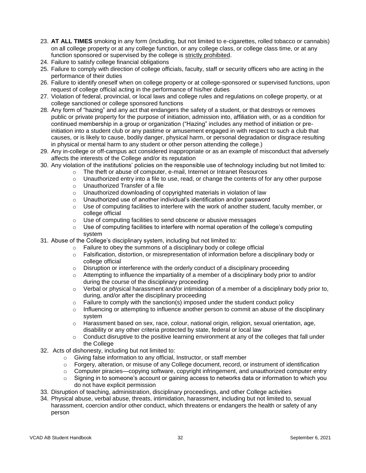- 23. **AT ALL TIMES** smoking in any form (including, but not limited to e-cigarettes, rolled tobacco or cannabis) on all college property or at any college function, or any college class, or college class time, or at any function sponsored or supervised by the college is strictly prohibited.
- 24. Failure to satisfy college financial obligations
- 25. Failure to comply with direction of college officials, faculty, staff or security officers who are acting in the performance of their duties
- 26. Failure to identify oneself when on college property or at college-sponsored or supervised functions, upon request of college official acting in the performance of his/her duties
- 27. Violation of federal, provincial, or local laws and college rules and regulations on college property, or at college sanctioned or college sponsored functions
- 28. Any form of "hazing" and any act that endangers the safety of a student, or that destroys or removes public or private property for the purpose of initiation, admission into, affiliation with, or as a condition for continued membership in a group or organization ("Hazing" includes any method of initiation or preinitiation into a student club or any pastime or amusement engaged in with respect to such a club that causes, or is likely to cause, bodily danger, physical harm, or personal degradation or disgrace resulting in physical or mental harm to any student or other person attending the college.)
- 29. Any in-college or off-campus act considered inappropriate or as an example of misconduct that adversely affects the interests of the College and/or its reputation
- 30. Any violation of the institutions' policies on the responsible use of technology including but not limited to:
	- $\circ$  The theft or abuse of computer, e-mail, Internet or Intranet Resources
	- $\circ$  Unauthorized entry into a file to use, read, or change the contents of for any other purpose
	- o Unauthorized Transfer of a file
	- o Unauthorized downloading of copyrighted materials in violation of law
	- o Unauthorized use of another individual's identification and/or password
	- $\circ$  Use of computing facilities to interfere with the work of another student, faculty member, or college official
	- o Use of computing facilities to send obscene or abusive messages
	- Use of computing facilities to interfere with normal operation of the college's computing system
- 31. Abuse of the College's disciplinary system, including but not limited to:
	- $\circ$  Failure to obey the summons of a disciplinary body or college official
	- $\circ$  Falsification, distortion, or misrepresentation of information before a disciplinary body or college official
	- $\circ$  Disruption or interference with the orderly conduct of a disciplinary proceeding
	- $\circ$  Attempting to influence the impartiality of a member of a disciplinary body prior to and/or during the course of the disciplinary proceeding
	- $\circ$  Verbal or physical harassment and/or intimidation of a member of a disciplinary body prior to, during, and/or after the disciplinary proceeding
	- $\circ$  Failure to comply with the sanction(s) imposed under the student conduct policy
	- $\circ$  Influencing or attempting to influence another person to commit an abuse of the disciplinary system
	- $\circ$  Harassment based on sex, race, colour, national origin, religion, sexual orientation, age, disability or any other criteria protected by state, federal or local law
	- $\circ$  Conduct disruptive to the positive learning environment at any of the colleges that fall under the College
- 32. Acts of dishonesty, including but not limited to:
	- o Giving false information to any official, Instructor, or staff member
	- $\circ$  Forgery, alteration, or misuse of any College document, record, or instrument of identification
	- o Computer piracies—copying software, copyright infringement, and unauthorized computer entry
	- $\circ$  Signing in to someone's account or gaining access to networks data or information to which you do not have explicit permission
- 33. Disruption of teaching, administration, disciplinary proceedings, and other College activities
- 34. Physical abuse, verbal abuse, threats, intimidation, harassment, including but not limited to, sexual harassment, coercion and/or other conduct, which threatens or endangers the health or safety of any person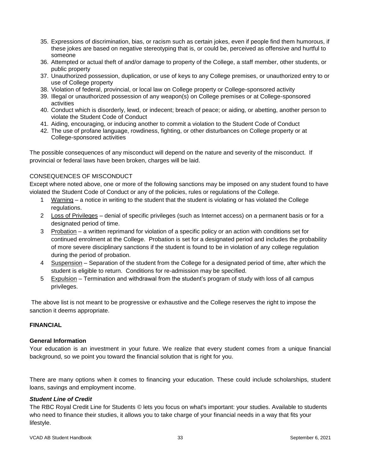- 35. Expressions of discrimination, bias, or racism such as certain jokes, even if people find them humorous, if these jokes are based on negative stereotyping that is, or could be, perceived as offensive and hurtful to someone
- 36. Attempted or actual theft of and/or damage to property of the College, a staff member, other students, or public property
- 37. Unauthorized possession, duplication, or use of keys to any College premises, or unauthorized entry to or use of College property
- 38. Violation of federal, provincial, or local law on College property or College-sponsored activity
- 39. Illegal or unauthorized possession of any weapon(s) on College premises or at College-sponsored activities
- 40. Conduct which is disorderly, lewd, or indecent; breach of peace; or aiding, or abetting, another person to violate the Student Code of Conduct
- 41. Aiding, encouraging, or inducing another to commit a violation to the Student Code of Conduct
- 42. The use of profane language, rowdiness, fighting, or other disturbances on College property or at College-sponsored activities

The possible consequences of any misconduct will depend on the nature and severity of the misconduct. If provincial or federal laws have been broken, charges will be laid.

# CONSEQUENCES OF MISCONDUCT

Except where noted above, one or more of the following sanctions may be imposed on any student found to have violated the Student Code of Conduct or any of the policies, rules or regulations of the College.

- 1 Warning a notice in writing to the student that the student is violating or has violated the College regulations.
- 2 Loss of Privileges denial of specific privileges (such as Internet access) on a permanent basis or for a designated period of time.
- 3 Probation a written reprimand for violation of a specific policy or an action with conditions set for continued enrolment at the College. Probation is set for a designated period and includes the probability of more severe disciplinary sanctions if the student is found to be in violation of any college regulation during the period of probation.
- 4 Suspension Separation of the student from the College for a designated period of time, after which the student is eligible to return. Conditions for re-admission may be specified.
- 5 Expulsion Termination and withdrawal from the student's program of study with loss of all campus privileges.

The above list is not meant to be progressive or exhaustive and the College reserves the right to impose the sanction it deems appropriate.

# <span id="page-32-0"></span>**FINANCIAL**

#### **General Information**

Your education is an investment in your future. We realize that every student comes from a unique financial background, so we point you toward the financial solution that is right for you.

There are many options when it comes to financing your education. These could include scholarships, student loans, savings and employment income.

#### *Student Line of Credit*

The RBC Royal Credit Line for Students © lets you focus on what's important: your studies. Available to students who need to finance their studies, it allows you to take charge of your financial needs in a way that fits your lifestyle.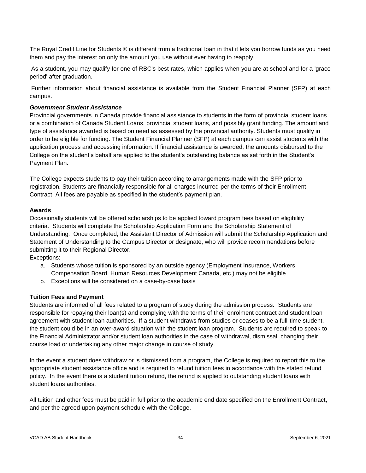The Royal Credit Line for Students **©** is different from a traditional loan in that it lets you borrow funds as you need them and pay the interest on only the amount you use without ever having to reapply.

As a student, you may qualify for one of RBC's best rates, which applies when you are at school and for a 'grace period' after graduation.

Further information about financial assistance is available from the Student Financial Planner (SFP) at each campus.

#### *Government Student Assistance*

Provincial governments in Canada provide financial assistance to students in the form of provincial student loans or a combination of Canada Student Loans, provincial student loans, and possibly grant funding. The amount and type of assistance awarded is based on need as assessed by the provincial authority. Students must qualify in order to be eligible for funding. The Student Financial Planner (SFP) at each campus can assist students with the application process and accessing information. If financial assistance is awarded, the amounts disbursed to the College on the student's behalf are applied to the student's outstanding balance as set forth in the Student's Payment Plan.

The College expects students to pay their tuition according to arrangements made with the SFP prior to registration. Students are financially responsible for all charges incurred per the terms of their Enrollment Contract. All fees are payable as specified in the student's payment plan.

#### <span id="page-33-0"></span>**Awards**

Occasionally students will be offered scholarships to be applied toward program fees based on eligibility criteria. Students will complete the Scholarship Application Form and the Scholarship Statement of Understanding. Once completed, the Assistant Director of Admission will submit the Scholarship Application and Statement of Understanding to the Campus Director or designate, who will provide recommendations before submitting it to their Regional Director.

Exceptions:

- a. Students whose tuition is sponsored by an outside agency (Employment Insurance, Workers Compensation Board, Human Resources Development Canada, etc.) may not be eligible
- b. Exceptions will be considered on a case-by-case basis

#### <span id="page-33-1"></span>**Tuition Fees and Payment**

Students are informed of all fees related to a program of study during the admission process. Students are responsible for repaying their loan(s) and complying with the terms of their enrolment contract and student loan agreement with student loan authorities. If a student withdraws from studies or ceases to be a full-time student, the student could be in an over-award situation with the student loan program. Students are required to speak to the Financial Administrator and/or student loan authorities in the case of withdrawal, dismissal, changing their course load or undertaking any other major change in course of study.

In the event a student does withdraw or is dismissed from a program, the College is required to report this to the appropriate student assistance office and is required to refund tuition fees in accordance with the stated refund policy. In the event there is a student tuition refund, the refund is applied to outstanding student loans with student loans authorities.

All tuition and other fees must be paid in full prior to the academic end date specified on the Enrollment Contract, and per the agreed upon payment schedule with the College.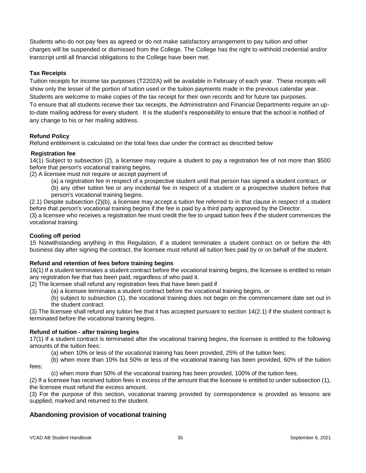Students who do not pay fees as agreed or do not make satisfactory arrangement to pay tuition and other charges will be suspended or dismissed from the College. The College has the right to withhold credential and/or transcript until all financial obligations to the College have been met.

# <span id="page-34-0"></span>**Tax Receipts**

Tuition receipts for income tax purposes (T2202A) will be available in February of each year. These receipts will show only the lesser of the portion of tuition used or the tuition payments made in the previous calendar year. Students are welcome to make copies of the tax receipt for their own records and for future tax purposes. To ensure that all students receive their tax receipts, the Administration and Financial Departments require an upto-date mailing address for every student. It is the student's responsibility to ensure that the school is notified of any change to his or her mailing address.

#### **Refund Policy**

Refund entitlement is calculated on the total fees due under the contract as described below

#### **Registration fee**

14(1) Subject to subsection (2), a licensee may require a student to pay a registration fee of not more than \$500 before that person's vocational training begins.

(2) A licensee must not require or accept payment of

(a) a registration fee in respect of a prospective student until that person has signed a student contract, or

(b) any other tuition fee or any incidental fee in respect of a student or a prospective student before that person's vocational training begins.

(2.1) Despite subsection (2)(b), a licensee may accept a tuition fee referred to in that clause in respect of a student before that person's vocational training begins if the fee is paid by a third party approved by the Director.

(3) a licensee who receives a registration fee must credit the fee to unpaid tuition fees if the student commences the vocational training.

# **Cooling off period**

15 Notwithstanding anything in this Regulation, if a student terminates a student contract on or before the 4th business day after signing the contract, the licensee must refund all tuition fees paid by or on behalf of the student.

#### **Refund and retention of fees before training begins**

16(1) If a student terminates a student contract before the vocational training begins, the licensee is entitled to retain any registration fee that has been paid, regardless of who paid it.

(2) The licensee shall refund any registration fees that have been paid if

(a) a licensee terminates a student contract before the vocational training begins, or

(b) subject to subsection (1), the vocational training does not begin on the commencement date set out in the student contract.

(3) The licensee shall refund any tuition fee that it has accepted pursuant to section 14(2.1) if the student contract is terminated before the vocational training begins.

#### **Refund of tuition - after training begins**

17(1) If a student contract is terminated after the vocational training begins, the licensee is entitled to the following amounts of the tuition fees:

(a) when 10% or less of the vocational training has been provided, 25% of the tuition fees;

(b) when more than 10% but 50% or less of the vocational training has been provided, 60% of the tuition fees;

(c) when more than 50% of the vocational training has been provided, 100% of the tuition fees.

(2) If a licensee has received tuition fees in excess of the amount that the licensee is entitled to under subsection (1), the licensee must refund the excess amount.

(3) For the purpose of this section, vocational training provided by correspondence is provided as lessons are supplied, marked and returned to the student.

# **Abandoning provision of vocational training**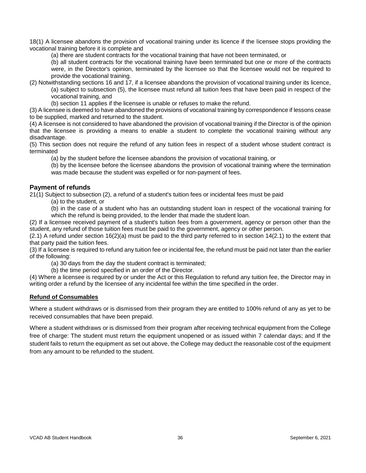18(1) A licensee abandons the provision of vocational training under its licence if the licensee stops providing the vocational training before it is complete and

(a) there are student contracts for the vocational training that have not been terminated, or

(b) all student contracts for the vocational training have been terminated but one or more of the contracts were, in the Director's opinion, terminated by the licensee so that the licensee would not be required to provide the vocational training.

(2) Notwithstanding sections 16 and 17, if a licensee abandons the provision of vocational training under its licence, (a) subject to subsection (5), the licensee must refund all tuition fees that have been paid in respect of the vocational training, and

(b) section 11 applies if the licensee is unable or refuses to make the refund.

(3) A licensee is deemed to have abandoned the provisions of vocational training by correspondence if lessons cease to be supplied, marked and returned to the student.

(4) A licensee is not considered to have abandoned the provision of vocational training if the Director is of the opinion that the licensee is providing a means to enable a student to complete the vocational training without any disadvantage.

(5) This section does not require the refund of any tuition fees in respect of a student whose student contract is terminated

(a) by the student before the licensee abandons the provision of vocational training, or

(b) by the licensee before the licensee abandons the provision of vocational training where the termination was made because the student was expelled or for non-payment of fees.

# **Payment of refunds**

21(1) Subject to subsection (2), a refund of a student's tuition fees or incidental fees must be paid

(a) to the student, or

(b) in the case of a student who has an outstanding student loan in respect of the vocational training for which the refund is being provided, to the lender that made the student loan.

(2) If a licensee received payment of a student's tuition fees from a government, agency or person other than the student, any refund of those tuition fees must be paid to the government, agency or other person.

 $(2.1)$  A refund under section 16 $(2)(a)$  must be paid to the third party referred to in section 14 $(2.1)$  to the extent that that party paid the tuition fees.

(3) If a licensee is required to refund any tuition fee or incidental fee, the refund must be paid not later than the earlier of the following:

(a) 30 days from the day the student contract is terminated;

(b) the time period specified in an order of the Director.

(4) Where a licensee is required by or under the Act or this Regulation to refund any tuition fee, the Director may in writing order a refund by the licensee of any incidental fee within the time specified in the order.

# **Refund of Consumables**

Where a student withdraws or is dismissed from their program they are entitled to 100% refund of any as yet to be received consumables that have been prepaid.

Where a student withdraws or is dismissed from their program after receiving technical equipment from the College free of charge: The student must return the equipment unopened or as issued within 7 calendar days; and If the student fails to return the equipment as set out above, the College may deduct the reasonable cost of the equipment from any amount to be refunded to the student.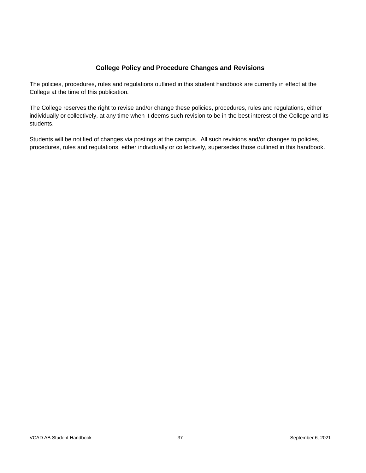# **College Policy and Procedure Changes and Revisions**

The policies, procedures, rules and regulations outlined in this student handbook are currently in effect at the College at the time of this publication.

The College reserves the right to revise and/or change these policies, procedures, rules and regulations, either individually or collectively, at any time when it deems such revision to be in the best interest of the College and its students.

Students will be notified of changes via postings at the campus. All such revisions and/or changes to policies, procedures, rules and regulations, either individually or collectively, supersedes those outlined in this handbook.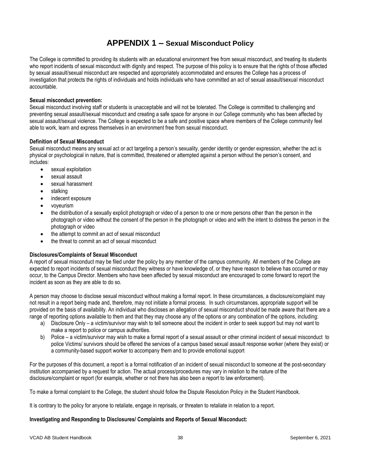# **APPENDIX 1 – Sexual Misconduct Policy**

<span id="page-37-0"></span>The College is committed to providing its students with an educational environment free from sexual misconduct, and treating its students who report incidents of sexual misconduct with dignity and respect. The purpose of this policy is to ensure that the rights of those affected by sexual assault/sexual misconduct are respected and appropriately accommodated and ensures the College has a process of investigation that protects the rights of individuals and holds individuals who have committed an act of sexual assault/sexual misconduct accountable.

#### **Sexual misconduct prevention:**

Sexual misconduct involving staff or students is unacceptable and will not be tolerated. The College is committed to challenging and preventing sexual assault/sexual misconduct and creating a safe space for anyone in our College community who has been affected by sexual assault/sexual violence. The College is expected to be a safe and positive space where members of the College community feel able to work, learn and express themselves in an environment free from sexual misconduct.

#### **Definition of Sexual Misconduct**

Sexual misconduct means any sexual act or act targeting a person's sexuality, gender identity or gender expression, whether the act is physical or psychological in nature, that is committed, threatened or attempted against a person without the person's consent, and includes:

- sexual exploitation
- sexual assault
- sexual harassment
- stalking
- indecent exposure
- voyeurism
- the distribution of a sexually explicit photograph or video of a person to one or more persons other than the person in the photograph or video without the consent of the person in the photograph or video and with the intent to distress the person in the photograph or video
- the attempt to commit an act of sexual misconduct
- the threat to commit an act of sexual misconduct

#### **Disclosures/Complaints of Sexual Misconduct**

A report of sexual misconduct may be filed under the policy by any member of the campus community. All members of the College are expected to report incidents of sexual misconduct they witness or have knowledge of, or they have reason to believe has occurred or may occur, to the Campus Director. Members who have been affected by sexual misconduct are encouraged to come forward to report the incident as soon as they are able to do so.

A person may choose to disclose sexual misconduct without making a formal report. In these circumstances, a disclosure/complaint may not result in a report being made and, therefore, may not initiate a formal process. In such circumstances, appropriate support will be provided on the basis of availability. An individual who discloses an allegation of sexual misconduct should be made aware that there are a range of reporting options available to them and that they may choose any of the options or any combination of the options, including:

- a) Disclosure Only a victim/survivor may wish to tell someone about the incident in order to seek support but may not want to make a report to police or campus authorities.
- b) Police a victim/survivor may wish to make a formal report of a sexual assault or other criminal incident of sexual misconduct to police Victims/ survivors should be offered the services of a campus based sexual assault response worker (where they exist) or a community-based support worker to accompany them and to provide emotional support

For the purposes of this document, a report is a formal notification of an incident of sexual misconduct to someone at the post-secondary institution accompanied by a request for action. The actual process/procedures may vary in relation to the nature of the disclosure/complaint or report (for example, whether or not there has also been a report to law enforcement).

To make a formal complaint to the College, the student should follow the Dispute Resolution Policy in the Student Handbook.

It is contrary to the policy for anyone to retaliate, engage in reprisals, or threaten to retaliate in relation to a report.

#### **Investigating and Responding to Disclosures/ Complaints and Reports of Sexual Misconduct:**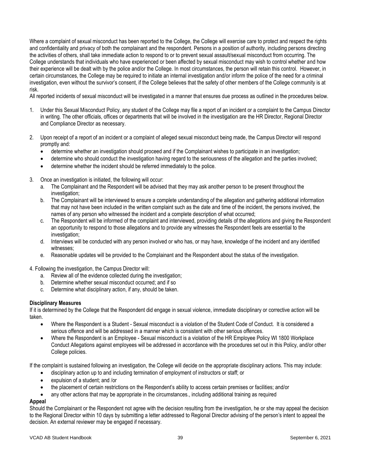Where a complaint of sexual misconduct has been reported to the College, the College will exercise care to protect and respect the rights and confidentiality and privacy of both the complainant and the respondent. Persons in a position of authority, including persons directing the activities of others, shall take immediate action to respond to or to prevent sexual assault/sexual misconduct from occurring. The College understands that individuals who have experienced or been affected by sexual misconduct may wish to control whether and how their experience will be dealt with by the police and/or the College. In most circumstances, the person will retain this control. However, in certain circumstances, the College may be required to initiate an internal investigation and/or inform the police of the need for a criminal investigation, even without the survivor's consent, if the College believes that the safety of other members of the College community is at risk.

All reported incidents of sexual misconduct will be investigated in a manner that ensures due process as outlined in the procedures below.

- 1. Under this Sexual Misconduct Policy, any student of the College may file a report of an incident or a complaint to the Campus Director in writing. The other officials, offices or departments that will be involved in the investigation are the HR Director, Regional Director and Compliance Director as necessary.
- 2. Upon receipt of a report of an incident or a complaint of alleged sexual misconduct being made, the Campus Director will respond promptly and:
	- determine whether an investigation should proceed and if the Complainant wishes to participate in an investigation;
	- determine who should conduct the investigation having regard to the seriousness of the allegation and the parties involved;
	- determine whether the incident should be referred immediately to the police.
- 3. Once an investigation is initiated, the following will occur:
	- a. The Complainant and the Respondent will be advised that they may ask another person to be present throughout the investigation;
	- b. The Complainant will be interviewed to ensure a complete understanding of the allegation and gathering additional information that may not have been included in the written complaint such as the date and time of the incident, the persons involved, the names of any person who witnessed the incident and a complete description of what occurred;
	- c. The Respondent will be informed of the complaint and interviewed, providing details of the allegations and giving the Respondent an opportunity to respond to those allegations and to provide any witnesses the Respondent feels are essential to the investigation:
	- d. Interviews will be conducted with any person involved or who has, or may have, knowledge of the incident and any identified witnesses;
	- e. Reasonable updates will be provided to the Complainant and the Respondent about the status of the investigation.

4. Following the investigation, the Campus Director will:

- a. Review all of the evidence collected during the investigation;
- b. Determine whether sexual misconduct occurred; and if so
- c. Determine what disciplinary action, if any, should be taken.

#### **Disciplinary Measures**

If it is determined by the College that the Respondent did engage in sexual violence, immediate disciplinary or corrective action will be taken.

- Where the Respondent is a Student Sexual misconduct is a violation of the Student Code of Conduct. It is considered a serious offence and will be addressed in a manner which is consistent with other serious offences.
- Where the Respondent is an Employee Sexual misconduct is a violation of the HR Employee Policy WI 1800 Workplace Conduct Allegations against employees will be addressed in accordance with the procedures set out in this Policy, and/or other College policies.

If the complaint is sustained following an investigation, the College will decide on the appropriate disciplinary actions. This may include:

- disciplinary action up to and including termination of employment of instructors or staff; or
- expulsion of a student; and /or
- the placement of certain restrictions on the Respondent's ability to access certain premises or facilities; and/or
- any other actions that may be appropriate in the circumstances., including additional training as required

# **Appeal**

Should the Complainant or the Respondent not agree with the decision resulting from the investigation, he or she may appeal the decision to the Regional Director within 10 days by submitting a letter addressed to Regional Director advising of the person's intent to appeal the decision. An external reviewer may be engaged if necessary.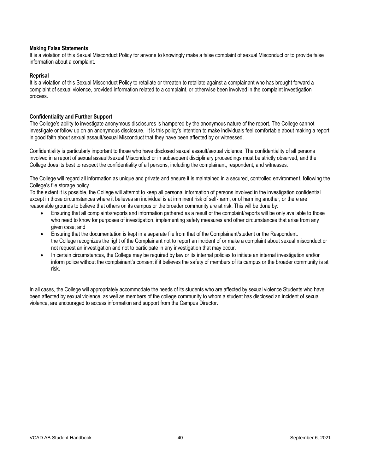#### **Making False Statements**

It is a violation of this Sexual Misconduct Policy for anyone to knowingly make a false complaint of sexual Misconduct or to provide false information about a complaint.

#### **Reprisal**

It is a violation of this Sexual Misconduct Policy to retaliate or threaten to retaliate against a complainant who has brought forward a complaint of sexual violence, provided information related to a complaint, or otherwise been involved in the complaint investigation process.

#### **Confidentiality and Further Support**

The College's ability to investigate anonymous disclosures is hampered by the anonymous nature of the report. The College cannot investigate or follow up on an anonymous disclosure. It is this policy's intention to make individuals feel comfortable about making a report in good faith about sexual assault/sexual Misconduct that they have been affected by or witnessed.

Confidentiality is particularly important to those who have disclosed sexual assault/sexual violence. The confidentiality of all persons involved in a report of sexual assault/sexual Misconduct or in subsequent disciplinary proceedings must be strictly observed, and the College does its best to respect the confidentiality of all persons, including the complainant, respondent, and witnesses.

The College will regard all information as unique and private and ensure it is maintained in a secured, controlled environment, following the College's file storage policy.

To the extent it is possible, the College will attempt to keep all personal information of persons involved in the investigation confidential except in those circumstances where it believes an individual is at imminent risk of self-harm, or of harming another, or there are reasonable grounds to believe that others on its campus or the broader community are at risk. This will be done by:

- Ensuring that all complaints/reports and information gathered as a result of the complaint/reports will be only available to those who need to know for purposes of investigation, implementing safety measures and other circumstances that arise from any given case; and
- Ensuring that the documentation is kept in a separate file from that of the Complainant/student or the Respondent. the College recognizes the right of the Complainant not to report an incident of or make a complaint about sexual misconduct or not request an investigation and not to participate in any investigation that may occur.
- In certain circumstances, the College may be required by law or its internal policies to initiate an internal investigation and/or inform police without the complainant's consent if it believes the safety of members of its campus or the broader community is at risk.

In all cases, the College will appropriately accommodate the needs of its students who are affected by sexual violence Students who have been affected by sexual violence, as well as members of the college community to whom a student has disclosed an incident of sexual violence, are encouraged to access information and support from the Campus Director.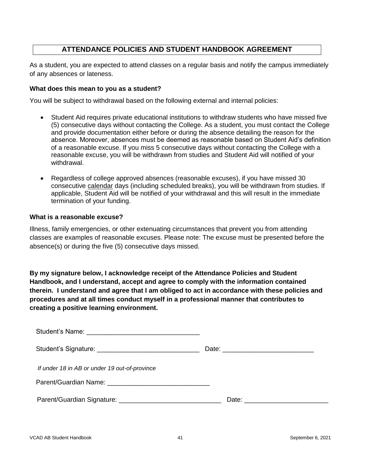# **ATTENDANCE POLICIES AND STUDENT HANDBOOK AGREEMENT**

As a student, you are expected to attend classes on a regular basis and notify the campus immediately of any absences or lateness.

# **What does this mean to you as a student?**

You will be subject to withdrawal based on the following external and internal policies:

- Student Aid requires private educational institutions to withdraw students who have missed five (5) consecutive days without contacting the College. As a student, you must contact the College and provide documentation either before or during the absence detailing the reason for the absence. Moreover, absences must be deemed as reasonable based on Student Aid's definition of a reasonable excuse. If you miss 5 consecutive days without contacting the College with a reasonable excuse, you will be withdrawn from studies and Student Aid will notified of your withdrawal.
- Regardless of college approved absences (reasonable excuses), if you have missed 30 consecutive calendar days (including scheduled breaks), you will be withdrawn from studies. If applicable, Student Aid will be notified of your withdrawal and this will result in the immediate termination of your funding.

# **What is a reasonable excuse?**

Illness, family emergencies, or other extenuating circumstances that prevent you from attending classes are examples of reasonable excuses. Please note: The excuse must be presented before the absence(s) or during the five (5) consecutive days missed.

**By my signature below, I acknowledge receipt of the Attendance Policies and Student Handbook, and I understand, accept and agree to comply with the information contained therein. I understand and agree that I am obliged to act in accordance with these policies and procedures and at all times conduct myself in a professional manner that contributes to creating a positive learning environment.**

| If under 18 in AB or under 19 out-of-province                                                                 |  |
|---------------------------------------------------------------------------------------------------------------|--|
|                                                                                                               |  |
| Parent/Guardian Signature: 2008 2010 2020 2021 2022 2023 2024 2022 2023 2024 2022 2023 2024 2022 2023 2024 20 |  |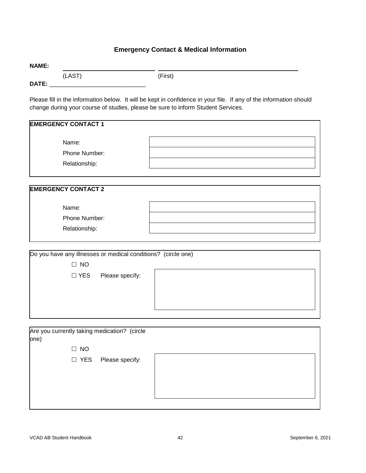# **Emergency Contact & Medical Information**

|              | (LAST)                     |                                                                                                                     | (First)                                                                                                                                                                                                |
|--------------|----------------------------|---------------------------------------------------------------------------------------------------------------------|--------------------------------------------------------------------------------------------------------------------------------------------------------------------------------------------------------|
| <b>DATE:</b> |                            | <u> 1980 - Jan Barbara, martin da basar da basar da basar da basar da basar da basar da basar da basar da basar</u> |                                                                                                                                                                                                        |
|              |                            |                                                                                                                     | Please fill in the information below. It will be kept in confidence in your file. If any of the information should<br>change during your course of studies, please be sure to inform Student Services. |
|              | <b>EMERGENCY CONTACT 1</b> |                                                                                                                     |                                                                                                                                                                                                        |
|              | Name:                      |                                                                                                                     |                                                                                                                                                                                                        |
|              | Phone Number:              |                                                                                                                     |                                                                                                                                                                                                        |
|              | Relationship:              |                                                                                                                     |                                                                                                                                                                                                        |
|              |                            |                                                                                                                     |                                                                                                                                                                                                        |
|              | <b>EMERGENCY CONTACT 2</b> |                                                                                                                     |                                                                                                                                                                                                        |
|              | Name:                      |                                                                                                                     |                                                                                                                                                                                                        |
|              | Phone Number:              |                                                                                                                     |                                                                                                                                                                                                        |
|              | Relationship:              |                                                                                                                     |                                                                                                                                                                                                        |
|              |                            |                                                                                                                     |                                                                                                                                                                                                        |
|              |                            |                                                                                                                     |                                                                                                                                                                                                        |
|              |                            | Do you have any illnesses or medical conditions? (circle one)                                                       |                                                                                                                                                                                                        |
|              | $\Box$ NO                  |                                                                                                                     |                                                                                                                                                                                                        |
|              | $\Box$ YES                 | Please specify:                                                                                                     |                                                                                                                                                                                                        |

| Are you currently taking medication? (circle |                       |  |
|----------------------------------------------|-----------------------|--|
| one)                                         |                       |  |
| $\Box$ NO                                    |                       |  |
|                                              | □ YES Please specify: |  |
|                                              |                       |  |
|                                              |                       |  |
|                                              |                       |  |
|                                              |                       |  |

**NAME:**